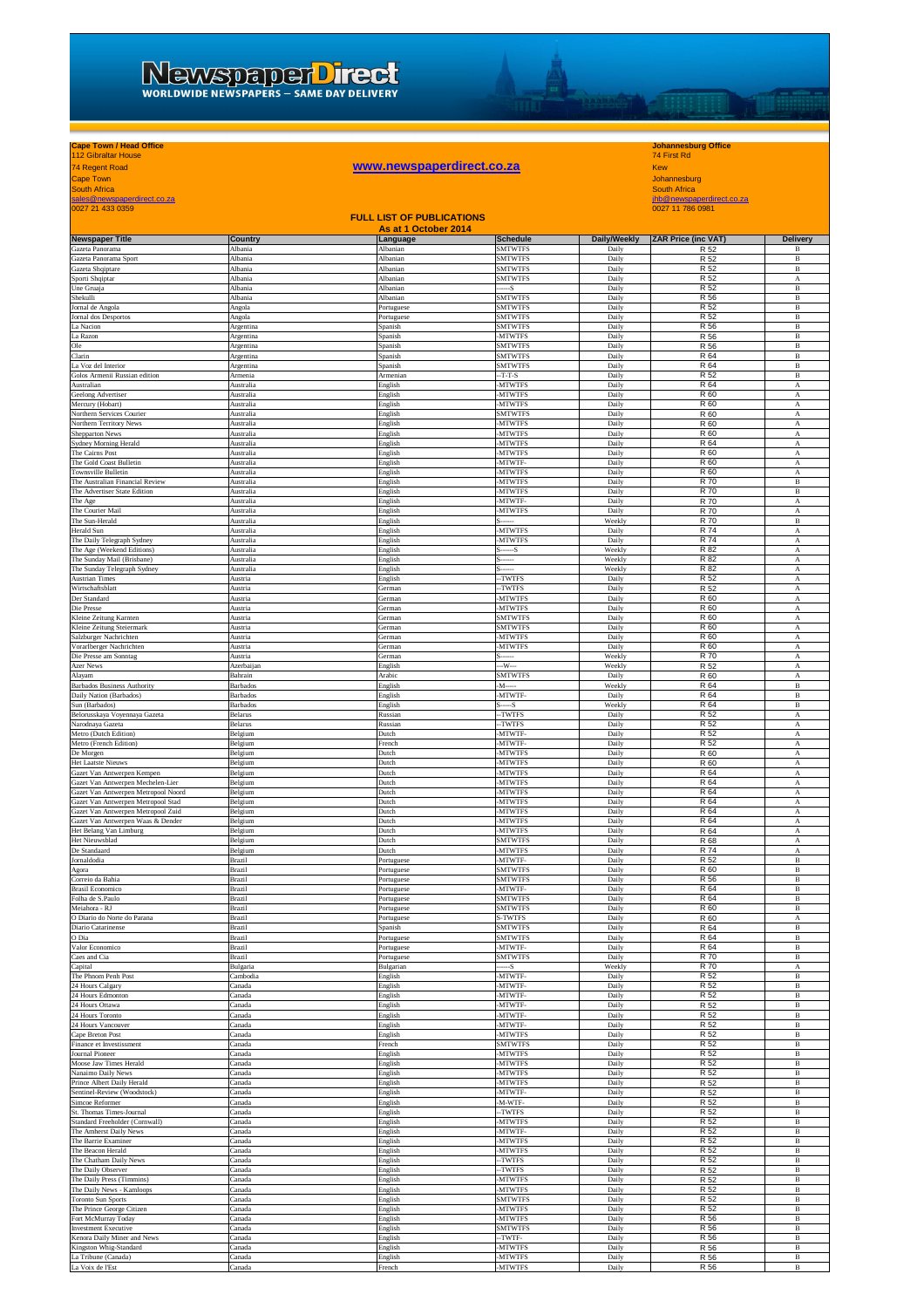## WEWSDEDETDER

## **Cape Town / Head Office Johannesburg Office** 112 Gibraltar House 74 First Rd

**you www.newspaperdirect.co.za**<br> **WWW.newspaperdirect.co.za**<br>
South Africa<br>
FILL LIST OF BUBLICATIONS<br>
FILL LIST OF BUBLICATIONS Cape Town<br>South Africa<br>sales@newspaperdirect.co.za jhb@newspaperdirect.co.za jhb@newspaperdirect.co.za jhb@newspaperdirect.co.za jhb@newspaperdirect.co.za<br>0027 21 433 0359 0027 11 786 0981

| <b>FULL LIST OF PUBLICATIONS</b><br>As at 1 October 2014                 |                        |                          |                                  |                 |                           |                                |  |
|--------------------------------------------------------------------------|------------------------|--------------------------|----------------------------------|-----------------|---------------------------|--------------------------------|--|
| <b>Newspaper Title</b>                                                   | <b>Country</b>         | Language                 | <b>Schedule</b>                  | Daily/Weekly    | <b>ZAR Price (inc VAT</b> | <b>Delivery</b>                |  |
| Gazeta Panorama                                                          | Albania                | Albanian                 | <b>SMTWTFS</b>                   | Daily           | R 52                      | B                              |  |
| Gazeta Panorama Sport<br>Gazeta Shqiptare                                | Albania<br>Albania     | Albanian<br>Albanian     | <b>SMTWTFS</b><br><b>SMTWTFS</b> | Daily<br>Daily  | R 52<br>R 52              | $\, {\bf B}$<br>B              |  |
| Sporti Shqiptar                                                          | Albania                | Albanian                 | <b>SMTWTFS</b>                   | Daily           | R 52                      | A                              |  |
| Jne Gruaja<br>Shekulli                                                   | Albania<br>Albania     | Albanian<br>Albanian     | $-S$<br><b>SMTWTFS</b>           | Daily<br>Daily  | R 52<br>R 56              | B<br>$\, {\bf B}$              |  |
| Iornal de Angola                                                         | Angola                 | Portuguese               | SMTWTFS                          | Daily           | R 52                      | $\, {\bf B}$                   |  |
| <b>Iornal</b> dos Desportos                                              | Angola                 | Portuguese               | <b>SMTWTFS</b>                   | Daily           | R 52                      | $\, {\bf B}$                   |  |
| La Nacion<br>La Razon                                                    | Argentina<br>Argentina | Spanish<br>Spanish       | <b>SMTWTFS</b><br>-MTWTFS        | Daily<br>Daily  | R 56<br>R 56              | $\, {\bf B}$<br>В              |  |
| Ole                                                                      | Argentina              | Spanish                  | <b>SMTWTFS</b>                   | Daily           | R 56                      | $\, {\bf B}$                   |  |
| Clarin<br>La Voz del Interior                                            | Argentina<br>Argentina | Spanish<br>Spanish       | <b>SMTWTFS</b><br><b>SMTWTFS</b> | Daily<br>Daily  | R 64<br>R 64              | $\, {\bf B}$<br>$\, {\bf B}$   |  |
| Golos Armenii Russian edition                                            | Armenia                | Armeniar                 | $-T-T-S$                         | Daily           | R 52                      | $\overline{B}$                 |  |
| Australian<br>Geelong Advertiser                                         | Australia<br>Australia | English<br>English       | <b>MTWTFS</b><br><b>MTWTFS</b>   | Daily<br>Daily  | R 64<br>R 60              | A<br>A                         |  |
| Mercury (Hobart)                                                         | Australia              | English                  | <b>MTWTFS</b>                    | Daily           | R 60                      | A                              |  |
| Northern Services Courier<br>Northern Territory News                     | Australia<br>Australia | English<br>English       | <b>SMTWTFS</b><br><b>MTWTFS</b>  | Daily<br>Daily  | R 60<br>R 60              | A<br>А                         |  |
| Shepparton News                                                          | Australia              | English                  | <b>MTWTFS</b>                    | Daily           | R 60                      | A                              |  |
| Sydney Morning Herald                                                    | Australia              | English                  | <b>MTWTFS</b>                    | Daily           | R 64                      | A                              |  |
| The Cairns Post<br>The Gold Coast Bulletin                               | Australia<br>Australia | English<br>English       | -MTWTFS<br>-MTWTF-               | Daily<br>Daily  | R 60<br>R 60              | А<br>A                         |  |
| Townsville Bulletin                                                      | Australia              | English                  | -MTWTFS                          | Daily           | R 60                      | $\overline{A}$                 |  |
| The Australian Financial Review<br>The Advertiser State Edition          | Australia<br>Australia | English<br>English       | <b>MTWTFS</b><br><b>MTWTFS</b>   | Daily<br>Daily  | R 70<br>R 70              | $\, {\bf B}$<br>$\overline{B}$ |  |
| The Age                                                                  | Australia              | English                  | -MTWTF                           | Daily           | R 70                      | A                              |  |
| The Courier Mail<br>The Sun-Herald                                       | Australia<br>Australia | English<br>English       | <b>MTWTFS</b>                    | Daily<br>Weekly | R 70<br>R 70              | A<br>$\, {\bf B}$              |  |
| <b>Herald Sun</b>                                                        | Australia              | English                  | <b>MTWTFS</b>                    | Daily           | R 74                      | A                              |  |
| The Daily Telegraph Sydney<br>The Age (Weekend Editions)                 | Australia<br>Australia | English<br>English       | <b>MTWTFS</b><br>$s$ -----S      | Daily<br>Weekly | R 74                      | A<br>$_{\rm A}$                |  |
| The Sunday Mail (Brisbane)                                               | Australia              | English                  |                                  | Weekly          | R 82<br>R 82              | A                              |  |
| The Sunday Telegraph Sydney                                              | Australia              | English                  |                                  | Weekly          | R 82                      | А                              |  |
| <b>Austrian Times</b><br>Wirtschaftsblatt                                | Austria<br>Austria     | English<br>German        | -TWTFS<br>TWTFS                  | Daily<br>Daily  | R 52<br>R 52              | А<br>A                         |  |
| Der Standard                                                             | Austria                | German                   | <b>MTWTFS</b>                    | Daily           | R 60                      | A                              |  |
| Die Presse<br>Kleine Zeitung Karnten                                     | Austria<br>Austria     | <b>German</b><br>Jerman  | MTWTFS<br><b>SMTWTFS</b>         | Daily<br>Daily  | R 60<br>R 60              | A<br>A                         |  |
| Kleine Zeitung Steiermark                                                | Austria                | German                   | <b>SMTWTFS</b>                   | Daily           | R 60                      | A                              |  |
| Salzburger Nachrichten<br>Vorarlberger Nachrichten                       | Austria<br>Austria     | German<br>German         | <b>MTWTFS</b><br><b>MTWTFS</b>   | Daily<br>Daily  | R 60<br>R 60              | A<br>A                         |  |
| Die Presse am Sonntag                                                    | Austria                | German                   |                                  | Weekly          | R 70                      | A                              |  |
| Azer News                                                                | Azerbaijan             | English                  | -W---                            | Weekly<br>Daily | R 52                      | $\boldsymbol{\rm{A}}$          |  |
| Alayam<br><b>Barbados Business Authority</b>                             | Bahrain<br>Barbados    | Arabic<br>English        | <b>SMTWTFS</b><br>-M---          | Weekly          | R 60<br>R 64              | A<br>$\, {\bf B}$              |  |
| Daily Nation (Barbados)                                                  | Barbados               | English                  | -MTWTF-                          | Daily           | R 64                      | В                              |  |
| Sun (Barbados)<br>Belorusskaya Voyennaya Gazeta                          | Barbados<br>Belarus    | English<br>Russian       | S-----S<br>-TWTFS                | Weekly<br>Daily | R 64<br>R 52              | $\, {\bf B}$<br>A              |  |
| Narodnaya Gazeta                                                         | Belarus                | Russian                  | -TWTFS                           | Daily           | R 52                      | A                              |  |
| Metro (Dutch Edition)<br>Metro (French Edition)                          | Belgium<br>Belgium     | Dutch<br>French          | <b>MTWTF</b><br><b>MTWTF</b>     | Daily<br>Daily  | R 52<br>R 52              | A<br>A                         |  |
| De Morgen                                                                | Belgium                | Dutch                    | <b>MTWTFS</b>                    | Daily           | R 60                      | A                              |  |
| Het Laatste Nieuws<br>Gazet Van Antwerpen Kempen                         | Belgium<br>Belgium     | Dutch<br>Dutch           | <b>MTWTFS</b><br><b>MTWTFS</b>   | Daily<br>Daily  | R 60<br>R 64              | A<br>A                         |  |
| Gazet Van Antwerpen Mechelen-Lier                                        | Belgium                | Dutch                    | <b>MTWTFS</b>                    | Daily           | R 64                      | A                              |  |
| Gazet Van Antwerpen Metropool Noord                                      | Belgium                | Dutch                    | <b>MTWTFS</b>                    | Daily           | R 64                      | A                              |  |
| Gazet Van Antwerpen Metropool Stad<br>Gazet Van Antwerpen Metropool Zuid | Belgium<br>Belgium     | Dutch<br>Dutch           | <b>MTWTFS</b><br><b>MTWTFS</b>   | Daily<br>Daily  | R 64<br>R 64              | A<br>А                         |  |
| Gazet Van Antwerpen Waas & Dender                                        | Belgium                | Dutch                    | <b>MTWTFS</b>                    | Daily           | R 64                      | A                              |  |
| Het Belang Van Limburg<br>Het Nieuwsblad                                 | Belgium<br>Belgium     | Dutch<br>Dutch           | <b>MTWTFS</b><br><b>SMTWTFS</b>  | Daily<br>Daily  | R 64<br>R 68              | A<br>A                         |  |
| De Standaard                                                             | Belgium                | Dutch                    | <b>MTWTFS</b>                    | Daily           | R 74                      | A                              |  |
| Jornaldodia<br>Agora                                                     | Brazil<br>Brazil       | Portuguese<br>Portuguese | -MTWTF<br><b>SMTWTFS</b>         | Daily<br>Daily  | R 52<br>R 60              | $\, {\bf B}$<br>B              |  |
| Correio da Bahia                                                         | <b>Brazil</b>          | Portuguese               | <b>SMTWTFS</b>                   | Daily           | R 56                      | B                              |  |
| <b>Brasil Economico</b><br>Folha de S.Paulo                              | Brazil<br>Brazil       | Portuguese               | MTWTF-<br><b>SMTWTFS</b>         | Daily<br>Daily  | R 64<br>R 64              | B<br>$\, {\bf B}$              |  |
| Meiahora - RJ                                                            | Brazil                 | Portuguese<br>Portuguese | <b>SMTWTFS</b>                   | Daily           | R 60                      | B                              |  |
| O Diario do Norte do Parana                                              | Brazil                 | Portuguese               | S-TWTFS                          | Daily           | R 60                      | А                              |  |
| Diario Catarinense<br>O Dia                                              | Brazil<br>Brazil       | Spanish<br>Portuguese    | <b>SMTWTFS</b><br><b>SMTWTFS</b> | Daily<br>Daily  | R 64<br>R 64              | В<br>В                         |  |
| Valor Economico                                                          | Brazil                 | Portuguese               | -MTWTF-                          | Daily           | R 64                      | B                              |  |
| Caes and Cia<br>Capital                                                  | Brazil<br>Bulgaria     | Portuguese<br>Bulgarian  | <b>SMTWTFS</b>                   | Daily<br>Weekly | R 70<br>R 70              | $\, {\bf B}$<br>A              |  |
| The Phnom Penh Post                                                      | Cambodia               | English                  | -MTWTF-                          | Daily           | R 52                      | $\, {\bf B}$                   |  |
| 24 Hours Calgary<br>24 Hours Edmonton                                    | Canada<br>Canada       | English<br>English       | -MTWTF<br>-MTWTF-                | Daily<br>Daily  | R 52<br>R 52              | B<br>B                         |  |
| 24 Hours Ottawa                                                          | `anada                 | English                  | MTWTF-                           | Daily           | R 52                      | B                              |  |
| 24 Hours Toronto<br>24 Hours Vancouver                                   | `anada<br>Canada       | English<br>English       | MTWTF-<br>MTWTF-                 | Daily<br>Daily  | R 52<br>R 52              | B<br>$\, {\bf B}$              |  |
| Cape Breton Post                                                         | Canada                 | English                  | <b>MTWTFS</b>                    | Daily           | R 52                      | $\, {\bf B}$                   |  |
| Finance et Investissment                                                 | Canada                 | French                   | <b>SMTWTFS</b>                   | Daily           | R 52                      | $\, {\bf B}$                   |  |
| Journal Pioneer<br>Moose Jaw Times Herald                                | Canada<br>Canada       | English<br>English       | <b>MTWTFS</b><br>-MTWTFS         | Daily<br>Daily  | R 52<br>R 52              | В<br>$\, {\bf B}$              |  |
| Nanaimo Daily News                                                       | Canada                 | English                  | -MTWTFS                          | Daily           | R 52                      | B                              |  |
| Prince Albert Daily Herald<br>Sentinel-Review (Woodstock)                | `anada<br>`anada       | English<br>English       | <b>MTWTFS</b><br>MTWTF           | Daily<br>Daily  | R 52<br>R 52              | $\, {\bf B}$<br>$\overline{B}$ |  |
| Simcoe Reformer                                                          | Canada                 | English                  | -M-WTF-                          | Daily           | R 52                      | $\, {\bf B}$                   |  |
| St. Thomas Times-Journal<br>Standard Freeholder (Cornwall)               | `anada<br>Canada       | English<br>English       | -TWTFS<br><b>MTWTFS</b>          | Daily<br>Daily  | R 52<br>R 52              | B<br>В                         |  |
| The Amherst Daily News                                                   | `anada                 | English                  | MTWTF-                           | Daily           | R 52                      | B                              |  |
| The Barrie Examiner<br>The Beacon Herald                                 | `anada<br>Canada       | English<br>English       | <b>MTWTFS</b><br><b>MTWTFS</b>   | Daily<br>Daily  | R 52<br>R 52              | $\, {\bf B}$<br>$\, {\bf B}$   |  |
| The Chatham Daily News                                                   | Canada                 | English                  | -TWTFS                           | Daily           | R 52                      | $\, {\bf B}$                   |  |
| The Daily Observer                                                       | Canada                 | English                  | -TWTFS                           | Daily           | R 52                      | В                              |  |
| The Daily Press (Timmins)<br>The Daily News - Kamloops                   | Canada<br>Canada       | English<br>English       | -MTWTFS<br><b>MTWTFS</b>         | Daily<br>Daily  | R 52<br>R 52              | В<br>B                         |  |
| <b>Toronto Sun Sports</b>                                                | Canada                 | English                  | <b>SMTWTFS</b>                   | Daily           | R 52                      | $\, {\bf B}$                   |  |
| The Prince George Citizen<br>Fort McMurray Today                         | `anada<br>`anada       | English<br>English       | <b>MTWTFS</b><br><b>MTWTFS</b>   | Daily<br>Daily  | R 52<br>R 56              | $\, {\bf B}$<br>$\, {\bf B}$   |  |
| <b>Investment Executive</b>                                              | Canada                 | English                  | <b>SMTWTFS</b>                   | Daily           | R 56                      | B                              |  |
| Kenora Daily Miner and News<br>Kingston Whig-Standard                    | `anada<br>`anada       | English<br>English       | --TWTF-<br><b>MTWTFS</b>         | Daily<br>Daily  | R 56<br>R 56              | В<br>$\, {\bf B}$              |  |
| La Tribune (Canada)                                                      | `anada                 | English                  | <b>MTWTFS</b>                    | Daily           | R 56                      | $\, {\bf B}$                   |  |
| La Voix de l'Est                                                         | Canada                 | French                   | <b>MTWTFS</b>                    | Daily           | R 56                      | $\, {\bf B}$                   |  |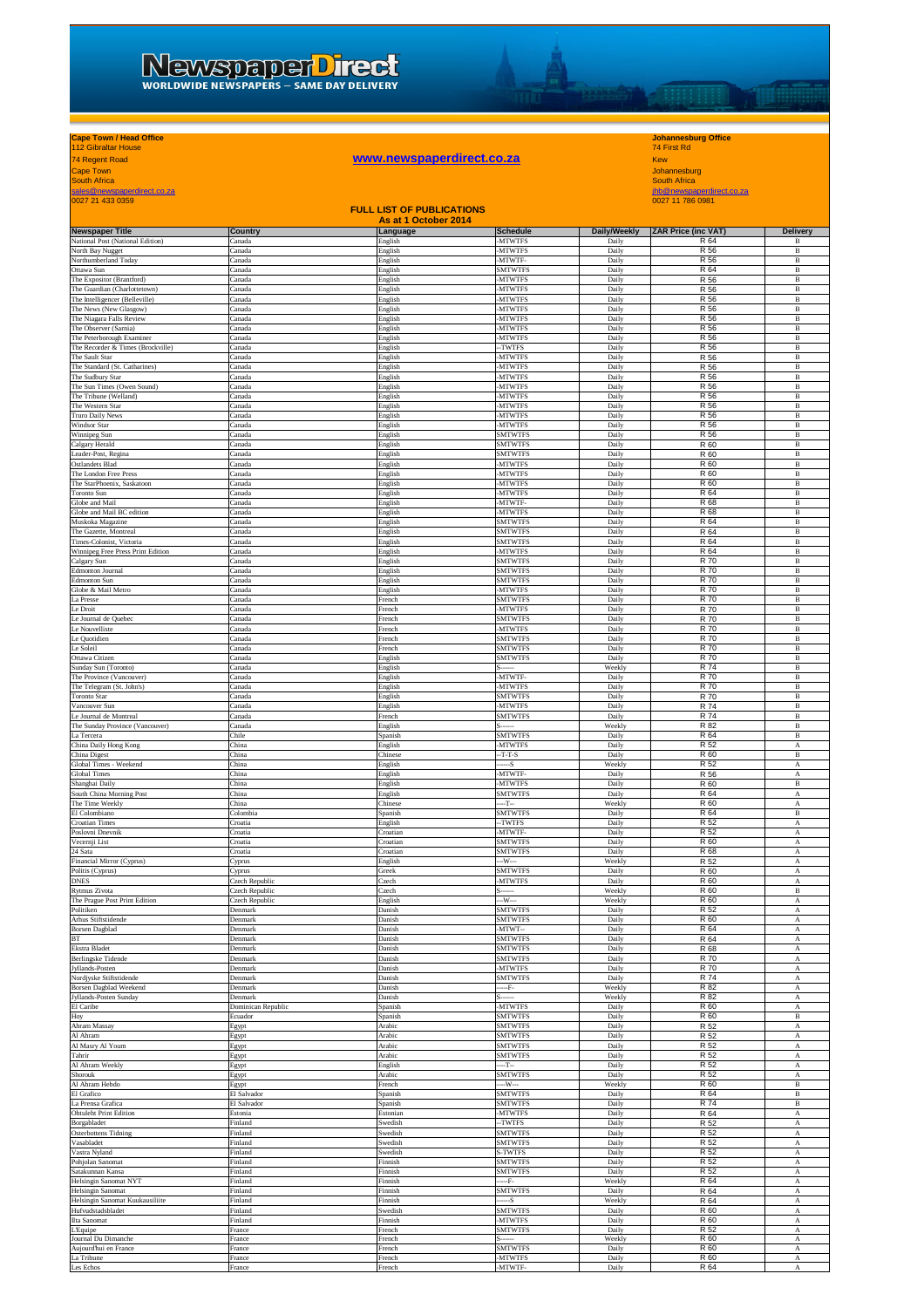# **yohannesburg Office**<br> **WWW.newspaperdirect.co.za**<br>
Xew<br>
Mohannesburg<br>
South Africa<br>
<u>Andre newspaperdirect.co.za</u><br>
Mohannesburg<br>
South Africa<br>
<u>Africa</u><br>
Mohannesburg<br>
South Africa<br>
Mohannesburg<br>
South Africa<br>
Mohannesburg

## **Cape Town / Head Office Johannesburg Office** 112 Gibraltar House 74 First Rd

**THE REAL** 

| Cape Town<br><b>South Africa</b>                               |                                  |                      |                                  |                  | Johannesburg<br><b>South Africa</b> |                              |  |
|----------------------------------------------------------------|----------------------------------|----------------------|----------------------------------|------------------|-------------------------------------|------------------------------|--|
| sales@newspaperdirect.co.za                                    |                                  |                      |                                  |                  | jhb@newspaperdirect.co.za           |                              |  |
| 0027 21 433 0359                                               |                                  |                      |                                  |                  | 0027 11 786 0981                    |                              |  |
|                                                                |                                  | As at 1 October 2014 | <b>FULL LIST OF PUBLICATIONS</b> |                  |                                     |                              |  |
| <b>Newspaper Title</b>                                         | Country                          | Language             | <b>Schedule</b>                  | Daily/Weekly     | ZAR Price (inc VAT)                 | Delivery                     |  |
| National Post (National Edition)<br>North Bay Nugget           | Canada<br>`anada                 | English<br>English   | -MTWTFS<br><b>MTWTFS</b>         | Daily<br>Daily   | R 64<br>R 56                        | B<br>В                       |  |
| Northumberland Today                                           | anada                            | English              | MTWTF                            | Daily            | R 56                                | $\, {\bf B}$                 |  |
| Ottawa Sun<br>The Expositor (Brantford)                        | `anada<br>anada                  | English<br>English   | SMTWTFS<br><b>MTWTFS</b>         | Daily<br>Daily   | R 64<br>R 56                        | B<br>$\, {\bf B}$            |  |
| The Guardian (Charlottetown)                                   | Canada                           | English              | <b>MTWTFS</b>                    | Daily            | R 56                                | $\overline{B}$               |  |
| The Intelligencer (Belleville)                                 | Canada                           | English              | <b>MTWTFS</b><br><b>MTWTFS</b>   | Daily            | R 56<br>R 56                        | $\mathbf{B}$<br>$\, {\bf B}$ |  |
| The News (New Glasgow)<br>The Niagara Falls Review             | Canada<br>Canada                 | English<br>English   | <b>MTWTFS</b>                    | Daily<br>Daily   | R 56                                | $\, {\bf B}$                 |  |
| The Observer (Sarnia)                                          | Canada                           | English              | <b>MTWTFS</b>                    | Daily            | R 56                                | B                            |  |
| The Peterborough Examiner<br>The Recorder & Times (Brockville) | `anada<br>anada                  | English<br>English   | <b>MTWTFS</b><br>-TWTFS          | Daily<br>Daily   | R 56<br>R 56                        | $\, {\bf B}$<br>B            |  |
| The Sault Star                                                 | Canada                           | English              | <b>MTWTFS</b>                    | Daily            | R 56                                | $\, {\bf B}$                 |  |
| The Standard (St. Catharines)<br>The Sudbury Star              | `anada<br>`anada                 | English<br>English   | <b>MTWTFS</b><br><b>MTWTFS</b>   | Daily<br>Daily   | R 56<br>R 56                        | $\, {\bf B}$<br>В            |  |
| The Sun Times (Owen Sound)                                     | `anada                           | English              | <b>MTWTFS</b>                    | Daily            | R 56                                | $\, {\bf B}$                 |  |
| The Tribune (Welland)<br>The Western Star                      | anada<br>Canada                  | English<br>English   | <b>MTWTFS</b><br><b>MTWTFS</b>   | Daily<br>Daily   | R 56<br>R 56                        | B<br>$\, {\bf B}$            |  |
| <b>Truro Daily News</b>                                        | Canada                           | English              | <b>MTWTFS</b>                    | Daily            | R 56                                | $\mathbf{B}$                 |  |
| Windsor Star<br>Winnipeg Sun                                   | Canada<br>Canada                 | English<br>English   | <b>MTWTFS</b><br><b>SMTWTFS</b>  | Daily<br>Daily   | R 56<br>R 56                        | B<br>B                       |  |
| Calgary Herald                                                 | Canada                           | English              | <b>SMTWTFS</b>                   | Daily            | R 60                                | $\, {\bf B}$                 |  |
| Leader-Post, Regina<br><b>Ostlandets Blad</b>                  | `anada<br>`anada                 | English<br>English   | <b>SMTWTFS</b><br><b>MTWTFS</b>  | Daily<br>Daily   | R 60<br>R 60                        | B<br>$\, {\bf B}$            |  |
| The London Free Press                                          | `anada                           | English              | <b>MTWTFS</b>                    | Daily            | R 60                                | $\, {\bf B}$                 |  |
| The StarPhoenix, Saskatoon<br>Toronto Sun                      | Canada<br>`anada                 | English              | <b>MTWTFS</b><br><b>MTWTFS</b>   | Daily<br>Daily   | R 60<br>R 64                        | $\, {\bf B}$<br>B            |  |
| Globe and Mail                                                 | anada                            | English<br>English   | MTWTF                            | Daily            | R 68                                | $\, {\bf B}$                 |  |
| Globe and Mail BC edition                                      | `anada<br>Canada                 | English              | <b>MTWTFS</b><br><b>SMTWTFS</b>  | Daily<br>Daily   | R 68<br>R 64                        | $\, {\bf B}$<br>$\, {\bf B}$ |  |
| Muskoka Magazine<br>The Gazette, Montreal                      | Canada                           | English<br>English   | <b>SMTWTFS</b>                   | Daily            | R 64                                | B                            |  |
| Times-Colonist, Victoria                                       | Canada                           | English              | <b>SMTWTFS</b>                   | Daily            | R 64                                | $\mathbf{B}$                 |  |
| Winnipeg Free Press Print Edition<br>Calgary Sun               | Canada<br>Canada                 | English<br>English   | <b>MTWTFS</b><br><b>SMTWTFS</b>  | Daily<br>Daily   | R 64<br>R 70                        | B<br>$\, {\bf B}$            |  |
| Edmonton Journal                                               | Canada                           | English              | <b>SMTWTFS</b>                   | Daily            | R 70                                | B                            |  |
| Edmonton Sun<br>Globe & Mail Metro                             | `anada<br>`anada                 | English<br>English   | SMTWTFS<br><b>MTWTFS</b>         | Daily<br>Daily   | R 70<br>R 70                        | B<br>$\, {\bf B}$            |  |
| La Presse                                                      | Canada                           | French               | <b>SMTWTFS</b>                   | Daily            | R 70                                | $\, {\bf B}$                 |  |
| Le Droit<br>Le Journal de Quebec                               | `anada<br>`anada                 | French<br>French     | <b>MTWTFS</b><br><b>SMTWTFS</b>  | Daily<br>Daily   | R 70<br>R 70                        | $\, {\bf B}$<br>$\, {\bf B}$ |  |
| e Nouvelliste                                                  | `anada                           | French               | <b>MTWTFS</b>                    | Daily            | R 70                                | $\, {\bf B}$                 |  |
| Le Quotidien<br>Le Soleil                                      | Canada<br>anada                  | French<br>French     | <b>SMTWTFS</b><br><b>SMTWTFS</b> | Daily<br>Daily   | R 70<br>R 70                        | B<br>B                       |  |
| Ottawa Citizen                                                 | Canada                           | English              | <b>SMTWTFS</b>                   | Daily            | R 70                                | $\mathbf{B}$                 |  |
| Sunday Sun (Toronto)                                           | Canada                           | English              | -MTWTF-                          | Weekly           | R 74                                | B                            |  |
| The Province (Vancouver)<br>The Telegram (St. John's)          | Canada<br>Canada                 | English<br>English   | <b>MTWTFS</b>                    | Daily<br>Daily   | R 70<br>R 70                        | В<br>B                       |  |
| Toronto Star                                                   | Canada                           | English              | <b>SMTWTFS</b>                   | Daily            | R 70                                | B                            |  |
| Vancouver Sun<br>Le Journal de Montreal                        | `anada<br>`anada                 | English<br>French    | <b>MTWTFS</b><br><b>SMTWTFS</b>  | Daily<br>Daily   | R 74<br>R 74                        | B<br>$\, {\bf B}$            |  |
| The Sunday Province (Vancouver)                                | Canada                           | English              |                                  | Weekly           | R 82                                | $\, {\bf B}$                 |  |
| La Tercera<br>China Daily Hong Kong                            | Chile<br>China                   | Spanish<br>English   | <b>SMTWTFS</b><br><b>MTWTFS</b>  | Daily<br>Daily   | R 64<br>R 52                        | В<br>А                       |  |
| China Digest                                                   | China                            | Chinese              | $-T-T-S$                         | Daily            | R 60                                | B                            |  |
| Global Times - Weekend<br><b>Global Times</b>                  | China<br>China                   | English<br>English   | --S<br><b>MTWTF</b>              | Weekly<br>Daily  | R 52<br>R 56                        | А<br>А                       |  |
| Shanghai Daily                                                 | China                            | English              | <b>MTWTFS</b>                    | Daily            | R 60                                | B                            |  |
| South China Morning Post<br>The Time Weekly                    | China<br>China                   | English<br>Chinese   | <b>SMTWTFS</b><br>T              | Daily<br>Weekly  | R 64<br>R 60                        | А<br>А                       |  |
| El Colombiano                                                  | Colombia                         | Spanish              | <b>SMTWTFS</b>                   | Daily            | R 64                                | $\, {\bf B}$                 |  |
| <b>Croatian Times</b><br>Poslovni Dnevnik                      | Croatia                          | English              | -TWTFS<br><b>MTWTF</b>           | Daily<br>Daily   | R 52<br>R 52                        | A                            |  |
| Vecernji List                                                  | roatia<br>Croatia                | Croatian<br>Croatian | <b>SMTWTFS</b>                   | Daily            | R 60                                | А<br>$\boldsymbol{A}$        |  |
| 24 Sata                                                        | Croatia                          | Croatian             | <b>SMTWTFS</b>                   | Daily            | R 68                                | А                            |  |
| Financial Mirror (Cyprus)<br>Politis (Cyprus)                  | yprus<br>Cyprus                  | English<br>Greek     | --W--<br><b>SMTWTFS</b>          | Weekly<br>Daily  | R 52<br>R 60                        | А<br>А                       |  |
| <b>DNES</b>                                                    | Czech Republic                   | Czech                | <b>MTWTFS</b>                    | Daily            | R 60                                | А                            |  |
| Rytmus Zivota<br>The Prague Post Print Edition                 | Czech Republic<br>Czech Republic | Czech<br>English     | $S$ -------<br>$-W-$             | Weekly<br>Weekly | R 60<br>R 60                        | в<br>$_{\rm A}$              |  |
| Politiken                                                      | Denmark                          | Danish               | <b>SMTWTFS</b>                   | Daily            | R 52                                | А                            |  |
| Arhus Stiftstidende<br><b>Borsen Dagblad</b>                   | Denmark<br>Denmark               | Danish<br>Danish     | <b>SMTWTFS</b><br>MTWT-          | Daily<br>Daily   | R 60<br>R 64                        | А<br>А                       |  |
| BT                                                             | Denmark                          | Danish               | <b>SMTWTFS</b>                   | Daily            | R 64                                | А                            |  |
| Ekstra Bladet<br>Berlingske Tidende                            | Denmark<br>Denmark               | Danish<br>Danish     | <b>SMTWTFS</b><br><b>SMTWTFS</b> | Daily<br>Daily   | R 68<br>R 70                        | А<br>A                       |  |
| Jyllands-Posten                                                | Denmark                          | Danish               | <b>MTWTFS</b>                    | Daily            | R 70                                | А                            |  |
| Nordjyske Stiftstidende<br><b>Borsen Dagblad Weekend</b>       | Denmark<br>Denmark               | Danish<br>Danish     | <b>SMTWTFS</b><br>F-             | Daily<br>Weekly  | R 74<br>R 82                        | A<br>А                       |  |
| Jyllands-Posten Sunday                                         | Denmark                          | Danish               |                                  | Weekly           | R 82                                | А                            |  |
| El Caribe<br>Hoy                                               | Dominican Republic<br>Ecuador    | Spanish<br>Spanish   | <b>MTWTFS</b><br><b>SMTWTFS</b>  | Daily<br>Daily   | R 60<br>R 60                        | А<br>$\, {\bf B}$            |  |
| Ahram Massay                                                   | Egypt                            | Arabic               | <b>SMTWTFS</b>                   | Daily            | R 52                                | $_{\rm A}$                   |  |
| Al Ahram<br>Al Masry Al Youm                                   | Egypt                            | Arabic<br>Arabic     | <b>SMTWTFS</b><br><b>SMTWTFS</b> | Daily<br>Daily   | R 52<br>R 52                        | А<br>А                       |  |
| Tahrir                                                         | Egypt<br>Egypt                   | Arabic               | <b>SMTWTFS</b>                   | Daily            | R 52                                | A                            |  |
| Al Ahram Weekly                                                | Egypt                            | English              | $-T-$                            | Daily            | R 52                                | А                            |  |
| Shorouk<br>Al Ahram Hebdo                                      | eypt<br>Egypt                    | Arabic<br>French     | SMTWTFS<br>--W---                | Daily<br>Weekly  | R 52<br>R 60                        | A<br>$\, {\bf B}$            |  |
| El Grafico                                                     | El Salvador                      | Spanish              | <b>SMTWTFS</b>                   | Daily            | R 64                                | В                            |  |
| La Prensa Grafica<br><b>Ohtuleht Print Edition</b>             | El Salvador<br>Estonia           | Spanish<br>Estonian  | <b>SMTWTFS</b><br><b>MTWTFS</b>  | Daily<br>Daily   | R 74<br>R 64                        | $\, {\bf B}$<br>А            |  |
| Borgabladet                                                    | Finland                          | Swedish              | -TWTFS                           | Daily            | R 52                                | А                            |  |
| <b>Osterbottens Tidning</b><br>Vasabladet                      | Finland<br>Finland               | Swedish<br>Swedish   | <b>SMTWTFS</b><br><b>SMTWTFS</b> | Daily<br>Daily   | R 52<br>R 52                        | A<br>$_{\rm A}$              |  |
| Vastra Nyland                                                  | Finland                          | Swedish              | S-TWTFS                          | Daily            | R 52                                | А                            |  |
| Pohjolan Sanomat<br>Satakunnan Kansa                           | Finland<br>Finland               | Finnish<br>Finnish   | <b>SMTWTFS</b><br><b>SMTWTFS</b> | Daily<br>Daily   | R 52<br>R 52                        | А<br>А                       |  |
| <b>Helsingin Sanomat NYT</b>                                   | Finland                          | Finnish              | F.                               | Weekly           | R 64                                | A                            |  |
| <b>Helsingin Sanomat</b>                                       | inland                           | Finnish              | <b>SMTWTFS</b>                   | Daily            | R 64                                | A                            |  |
| Helsingin Sanomat Kuukausiliite<br>Hufvudstadsbladet           | Finland<br>Finland               | Finnish<br>Swedish   | $-S$<br><b>SMTWTFS</b>           | Weekly<br>Daily  | R 64<br>R 60                        | A<br>А                       |  |
| Ilta Sanomat                                                   | Finland                          | Finnish              | <b>MTWTFS</b>                    | Daily            | R 60                                | А                            |  |
| .'Equipe<br>Journal Du Dimanche                                | France<br>France                 | French<br>French     | <b>SMTWTFS</b>                   | Daily<br>Weekly  | R 52<br>R 60                        | А<br>А                       |  |
| Aujourd'hui en France                                          | France                           | French               | <b>SMTWTFS</b>                   | Daily            | R 60                                | А                            |  |
| La Tribune<br>Les Echos                                        | France<br>France                 | French<br>French     | <b>MTWTFS</b><br>MTWTF-          | Daily<br>Daily   | R 60<br>R 64                        | А<br>А                       |  |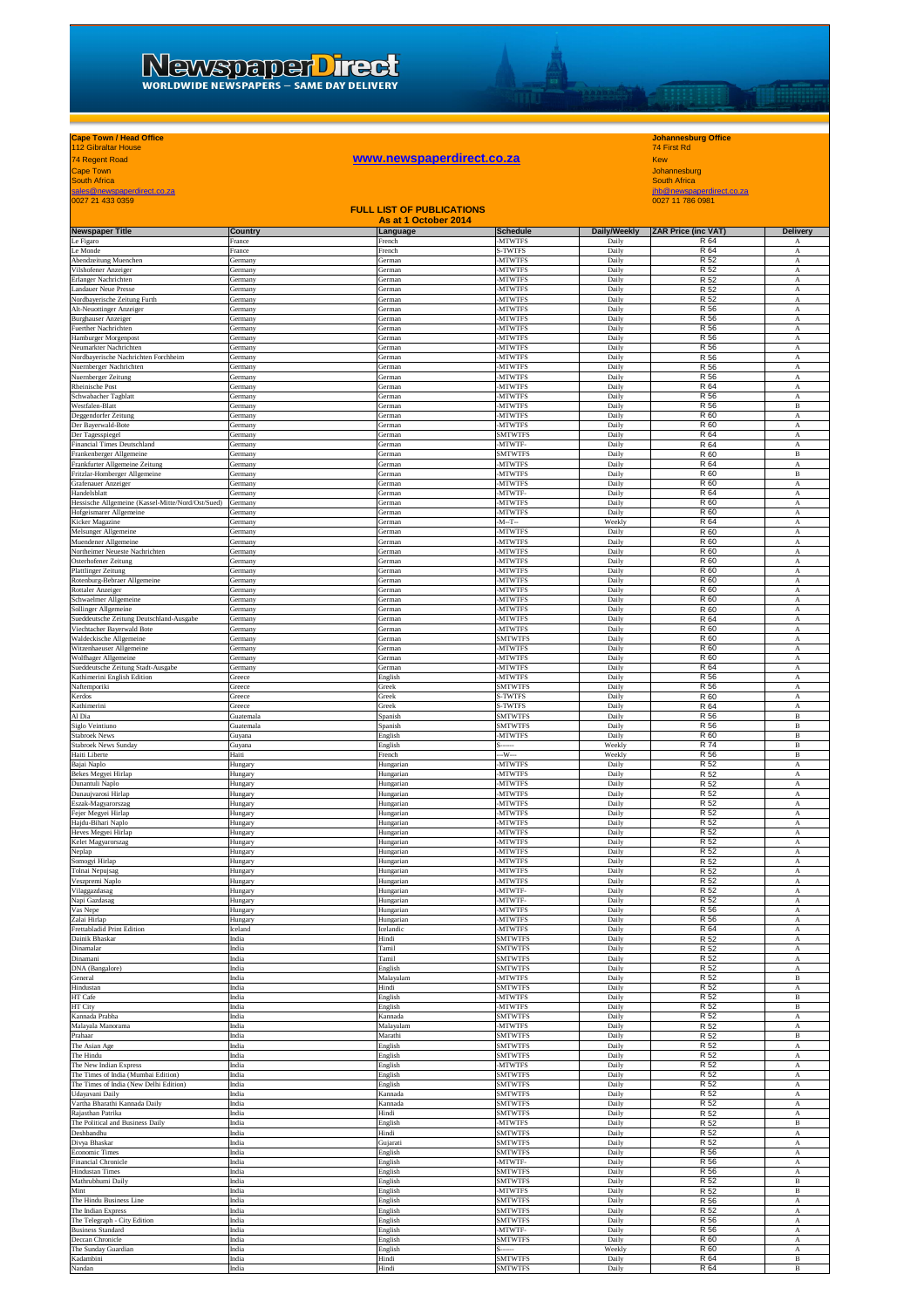## NEWSDEDET DITECT

# **yohannesburg Office**<br> **WWW.newspaperdirect.co.za**<br>
Xew<br>
Mohannesburg<br>
South Africa<br>
<u>Andre newspaperdirect.co.za</u><br>
Mohannesburg<br>
South Africa<br>
<u>Africa</u><br>
Mohannesburg<br>
South Africa<br>
Mohannesburg<br>
South Africa<br>
Mohannesburg

## **Cape Town / Head Office Johannesburg Office** 112 Gibraltar House 74 First Rd

TOOM

| <b>Cape Town</b><br><b>South Africa</b>                                      |                           |                                  |                                  |                 | Johannesburg<br><b>South Africa</b> |                                           |  |
|------------------------------------------------------------------------------|---------------------------|----------------------------------|----------------------------------|-----------------|-------------------------------------|-------------------------------------------|--|
| sales@newspaperdirect.co.za                                                  |                           |                                  |                                  |                 | jhb@newspaperdirect.co.za           |                                           |  |
| 0027 21 433 0359                                                             |                           | <b>FULL LIST OF PUBLICATIONS</b> |                                  |                 | 0027 11 786 0981                    |                                           |  |
| <b>Newspaper Title</b>                                                       | Country                   | As at 1 October 2014<br>Language | <b>Schedule</b>                  | Daily/Weekly    | <b>ZAR Price (inc VAT)</b>          | Delivery                                  |  |
| Le Figaro                                                                    | France                    | French                           | -MTWTFS                          | Daily           | R 64                                | А                                         |  |
| Le Monde<br>Abendzeitung Muenchen                                            | France<br>Germany         | French<br><b>German</b>          | S-TWTFS<br><b>MTWTFS</b>         | Daily<br>Daily  | R 64<br>R 52                        | А<br>А                                    |  |
| Vilshofener Anzeiger                                                         | Germany                   | <b>German</b>                    | <b>MTWTFS</b>                    | Daily           | R 52                                | А                                         |  |
| Erlanger Nachrichten<br>Landauer Neue Presse                                 | Germany<br>Germany        | German<br>German                 | <b>MTWTFS</b><br><b>MTWTFS</b>   | Daily<br>Daily  | R 52<br>R 52                        | А<br>А                                    |  |
| Nordbayerische Zeitung Furth                                                 | Germany                   | German                           | -MTWTFS                          | Daily           | R 52                                | А                                         |  |
| Alt-Neuottinger Anzeiger<br><b>Burghauser Anzeiger</b>                       | Germany<br>Germany        | German<br>German                 | -MTWTFS<br>-MTWTFS               | Daily<br>Daily  | R 56<br>R 56                        | А<br>А                                    |  |
| Fuerther Nachrichten                                                         | Germany                   | German                           | -MTWTFS                          | Daily           | R 56                                | А                                         |  |
| Hamburger Morgenpost<br>Neumarkter Nachrichten                               | Germany<br>Germany        | German<br>German                 | -MTWTFS<br><b>MTWTFS</b>         | Daily<br>Daily  | R 56<br>R 56                        | $\boldsymbol{\mathrm{A}}$<br>$_{\rm A}$   |  |
| Nordbayerische Nachrichten Forchheim<br>Nuernberger Nachrichten              | Germany                   | German                           | -MTWTFS                          | Daily           | R 56<br>R 56                        | А                                         |  |
| Nuernberger Zeitung                                                          | Germany<br>Germany        | German<br>German                 | -MTWTFS<br>-MTWTFS               | Daily<br>Daily  | R 56                                | А<br>А                                    |  |
| Rheinische Post<br>Schwabacher Tagblatt                                      | Germany<br><b>Germany</b> | <b>German</b><br>German          | <b>MTWTFS</b><br><b>MTWTFS</b>   | Daily<br>Daily  | R 64<br>R 56                        | А<br>$\mathbf{A}$                         |  |
| Westfalen-Blatt                                                              | <b>Germany</b>            | German                           | <b>MTWTFS</b>                    | Daily           | R 56                                | $\, {\bf B}$                              |  |
| Deggendorfer Zeitung<br>Der Bayerwald-Bote                                   | Germany<br>Germany        | German<br>German                 | -MTWTFS<br>-MTWTFS               | Daily<br>Daily  | R 60<br>R 60                        | А<br>A                                    |  |
| Der Tagesspiegel                                                             | Germany                   | German                           | <b>SMTWTFS</b>                   | Daily           | R 64                                | $_{\rm A}$                                |  |
| Financial Times Deutschland<br>Frankenberger Allgemeine                      | Germany<br>Germany        | German<br>German                 | -MTWTF-<br><b>SMTWTFS</b>        | Daily<br>Daily  | R 64<br>R 60                        | А<br>$\, {\bf B}$                         |  |
| Frankfurter Allgemeine Zeitung                                               | Germany                   | German                           | -MTWTFS                          | Daily           | R 64                                | $\boldsymbol{\mathrm{A}}$                 |  |
| Fritzlar-Homberger Allgemeine<br>Grafenauer Anzeiger                         | Germany<br>Germany        | German<br>German                 | -MTWTFS<br>-MTWTFS               | Daily<br>Daily  | R 60<br>R 60                        | $\, {\bf B}$<br>А                         |  |
| Handelsblatt                                                                 | Germany                   | German                           | -MTWTF                           | Daily           | R 64                                | А                                         |  |
| Hessische Allgemeine (Kassel-Mitte/Nord/Ost/Sued)<br>Hofgeismarer Allgemeine | Germany<br>Germany        | <b>German</b><br><b>German</b>   | <b>MTWTFS</b><br><b>MTWTFS</b>   | Daily<br>Daily  | R 60<br>R 60                        | $_{\rm A}$<br>А                           |  |
| Kicker Magazine                                                              | Germany                   | German                           | $-M-T-$                          | Weekly          | R 64                                | $\boldsymbol{\rm A}$                      |  |
| Melsunger Allgemeine<br>Muendener Allgemeine                                 | Germany<br>Germany        | <b>German</b><br>German          | <b>MTWTFS</b><br>-MTWTFS         | Daily<br>Daily  | R 60<br>R 60                        | А<br>$_{\rm A}$                           |  |
| Northeimer Neueste Nachrichten                                               | Germany                   | German                           | -MTWTFS                          | Daily           | R 60                                | А                                         |  |
| Osterhofener Zeitung<br><b>Plattlinger Zeitung</b>                           | Germany<br>Germany        | German<br>German                 | -MTWTFS<br>-MTWTFS               | Daily<br>Daily  | R 60<br>R 60                        | А<br>A                                    |  |
| Rotenburg-Bebraer Allgemeine                                                 | Germany                   | German                           | <b>MTWTFS</b>                    | Daily           | R 60                                | А                                         |  |
| Rottaler Anzeiger<br>Schwaelmer Allgemeine                                   | Germany<br>Germany        | <b>German</b><br>German          | <b>MTWTFS</b><br>-MTWTFS         | Daily<br>Daily  | R 60<br>R 60                        | A<br>А                                    |  |
| Sollinger Allgemeine                                                         | Germany                   | German                           | -MTWTFS                          | Daily           | R 60                                | А                                         |  |
| Sueddeutsche Zeitung Deutschland-Ausgabe<br>Viechtacher Bayerwald Bote       | Germany<br>Germany        | <b>German</b><br><b>German</b>   | <b>MTWTFS</b><br><b>MTWTFS</b>   | Daily<br>Daily  | R 64<br>R 60                        | А<br>А                                    |  |
| Waldeckische Allgemeine                                                      | <b>Germany</b>            | German                           | <b>SMTWTFS</b>                   | Daily           | R 60                                | $\mathbf{A}$                              |  |
| Witzenhaeuser Allgemeine<br>Wolfhager Allgemeine                             | Germany<br>Germany        | German<br>German                 | <b>MTWTFS</b><br>-MTWTFS         | Daily<br>Daily  | R 60<br>R 60                        | А<br>А                                    |  |
| Sueddeutsche Zeitung Stadt-Ausgabe                                           | Germany                   | German                           | -MTWTFS                          | Daily           | R 64                                | A                                         |  |
| Kathimerini English Edition<br>Naftemporiki                                  | Greece<br>Greece          | English<br>Greek                 | -MTWTFS<br><b>SMTWTF:</b>        | Daily<br>Daily  | R 56<br>R 56                        | А<br>A                                    |  |
| Kerdos<br>Kathimerini                                                        | Greece<br>Greece          | Greek<br>Greek                   | S-TWTFS<br>S-TWTFS               | Daily<br>Daily  | R 60                                | $\mathbf{A}$<br>$\boldsymbol{\mathrm{A}}$ |  |
| Al Dia                                                                       | Guatemala                 | Spanish                          | <b>SMTWTFS</b>                   | Daily           | R 64<br>R 56                        | $\, {\bf B}$                              |  |
| Siglo Veintiuno<br>Stabroek News                                             | Guatemala                 | Spanish                          | SMTWTFS<br>-MTWTFS               | Daily<br>Daily  | R 56<br>R 60                        | В<br>B                                    |  |
| Stabroek News Sunday                                                         | Guyana<br>Guyana          | English<br>English               |                                  | Weekly          | R 74                                | $\, {\bf B}$                              |  |
| Haiti Liberte<br>Bajai Naplo                                                 | Haiti<br>Hungary          | French<br>Hungarian              | -W---<br><b>MTWTFS</b>           | Weekly<br>Daily | R 56<br>R 52                        | $\, {\bf B}$<br>$\boldsymbol{\mathrm{A}}$ |  |
| Bekes Megyei Hirlap                                                          | Hungary                   | Hungarian                        | <b>MTWTFS</b>                    | Daily           | R 52                                | А                                         |  |
| Dunantuli Naplo<br>Dunaujvarosi Hirlap                                       | Hungary<br>Hungary        | Hungarian<br>Hungarian           | <b>MTWTFS</b><br>-MTWTFS         | Daily<br>Daily  | R 52<br>R 52                        | А<br>$_{\rm A}$                           |  |
| Eszak-Magyarorszag                                                           | Hungary                   | Hungarian                        | -MTWTFS                          | Daily           | R 52                                | А                                         |  |
| Fejer Megyei Hirlap<br>Hajdu-Bihari Naplo                                    | Hungary<br>Hungary        | Hungarian<br>Hungarian           | <b>MTWTFS</b><br><b>MTWTFS</b>   | Daily<br>Daily  | R 52<br>R 52                        | А<br>$_{\rm A}$                           |  |
| Heves Megyei Hirlap                                                          | Hungary                   | Hungariar                        | <b>MTWTFS</b>                    | Daily           | R 52                                | $_{\rm A}$                                |  |
| Kelet Magyarorszag<br>Neplap                                                 | Hungary<br>Hungary        | Hungarian<br>Hungarian           | -MTWTFS<br>-MTWTFS               | Daily<br>Daily  | R 52<br>R 52                        | $_{\rm A}$<br>А                           |  |
| Somogyi Hirlap                                                               | Hungary                   | Hungarian                        | -MTWTFS                          | Daily           | R 52                                | A                                         |  |
| Tolnai Nepujsag<br>Veszpremi Naplo                                           | Hungary<br>Hungary        | Hungarian<br>Hungarian           | <b>MTWTFS</b><br><b>MTWTFS</b>   | Daily<br>Daily  | R 52<br>R 52                        | А<br>А                                    |  |
| Vilaggazdasag                                                                | Hungary                   | Hungarian                        | -MTWTF-                          | Daily           | R 52                                | А                                         |  |
| Napi Gazdasag<br>Vas Nepe                                                    | Hungary<br>Hungary        | Hungarian<br>Hungarian           | -MTWTF-<br>-MTWTFS               | Daily<br>Daily  | R 52<br>R 56                        | А<br>A                                    |  |
| Zalai Hirlap                                                                 | Hungary                   | Hungarian                        | -MTWTFS                          | Daily           | R 56                                | А                                         |  |
| Frettabladid Print Edition<br>Dainik Bhaskar                                 | celand<br>India           | Icelandic<br>Hindi               | -MTWTFS<br><b>SMTWTFS</b>        | Daily<br>Daily  | R 64<br>R 52                        | А<br>$\boldsymbol{\mathrm{A}}$            |  |
| Dinamalar                                                                    | India                     | <b>Tamil</b>                     | <b>SMTWTFS</b><br><b>SMTWTFS</b> | Daily           | R 52<br>R 52                        | $\mathbf A$                               |  |
| Dinamani<br>DNA (Bangalore)                                                  | India<br>India            | Tamil<br>English                 | <b>SMTWTFS</b>                   | Daily<br>Daily  | R 52                                | А<br>A                                    |  |
| General<br>Hindustan                                                         | India<br>India            | Malayalam<br>Hindi               | -MTWTFS<br><b>SMTWTFS</b>        | Daily<br>Daily  | R 52<br>R 52                        | В<br>А                                    |  |
| HT Cafe                                                                      | India                     | English                          | <b>MTWTFS</b>                    | Daily           | R 52                                | $\, {\bf B}$                              |  |
| HT City<br>Kannada Prabha                                                    | India<br>India            | English<br>Kannada               | <b>MTWTFS</b><br><b>SMTWTFS</b>  | Daily<br>Daily  | R 52<br>R 52                        | $\, {\bf B}$<br>А                         |  |
| Malayala Manorama                                                            | India                     | Malayalam                        | -MTWTFS                          | Daily           | R 52                                | A                                         |  |
| Prahaar<br>The Asian Age                                                     | India<br>India            | Marathi<br>English               | <b>SMTWTFS</b><br><b>SMTWTFS</b> | Daily<br>Daily  | R 52<br>R 52                        | В<br>А                                    |  |
| The Hindu                                                                    | India                     | English                          | <b>SMTWTFS</b>                   | Daily           | R 52                                | А                                         |  |
| The New Indian Express<br>The Times of India (Mumbai Edition)                | India<br>India            | English<br>English               | <b>MTWTFS</b><br><b>SMTWTFS</b>  | Daily<br>Daily  | R 52<br>R 52                        | $\boldsymbol{\mathrm{A}}$<br>$_{\rm A}$   |  |
| The Times of India (New Delhi Edition)                                       | India                     | English                          | <b>SMTWTFS</b>                   | Daily           | R 52                                | А                                         |  |
| Udayavani Daily<br>Vartha Bharathi Kannada Daily                             | India<br>India            | Kannada<br>Kannada               | <b>SMTWTFS</b><br><b>SMTWTFS</b> | Daily<br>Daily  | R 52<br>R 52                        | А<br>А                                    |  |
| Rajasthan Patrika                                                            | India                     | Hindi                            | <b>SMTWTFS</b>                   | Daily           | R 52                                | А                                         |  |
| The Political and Business Daily<br>Deshbandhu                               | India<br>India            | English<br>Hindi                 | <b>MTWTFS</b><br><b>SMTWTFS</b>  | Daily<br>Daily  | R 52<br>R 52                        | $\, {\bf B}$<br>А                         |  |
| Divya Bhaskar                                                                | India                     | Gujarati                         | <b>SMTWTFS</b>                   | Daily           | R 52                                | А                                         |  |
| Economic Times<br>Financial Chronicle                                        | India<br>India            | English<br>English               | <b>SMTWTFS</b><br>-MTWTF-        | Daily<br>Daily  | R 56<br>R 56                        | A<br>А                                    |  |
| <b>Hindustan Times</b><br>Mathrubhumi Daily                                  | India                     | English                          | <b>SMTWTFS</b>                   | Daily           | R 56<br>R 52                        | A                                         |  |
| Mint                                                                         | India<br>India            | English<br>English               | <b>SMTWTFS</b><br>-MTWTFS        | Daily<br>Daily  | R 52                                | $\, {\bf B}$<br>$\, {\bf B}$              |  |
| The Hindu Business Line                                                      | India                     | English                          | SMTWTFS                          | Daily           | R 56<br>R 52                        | А                                         |  |
| The Indian Express<br>The Telegraph - City Edition                           | India<br>India            | English<br>English               | <b>SMTWTFS</b><br><b>SMTWTFS</b> | Daily<br>Daily  | R 56                                | $_{\rm A}$<br>А                           |  |
| <b>Business Standard</b><br>Deccan Chronicle                                 | India<br>India            | <b>English</b><br>English        | MTWTF-<br><b>SMTWTFS</b>         | Daily<br>Daily  | R 56<br>R 60                        | А<br>$\boldsymbol{\rm A}$                 |  |
| The Sunday Guardian                                                          | India                     | English                          |                                  | Weekly          | R 60                                | А                                         |  |
| Kadambini                                                                    | India                     | Hindi                            | <b>SMTWTFS</b>                   | Daily           | R 64                                | $\, {\bf B}$                              |  |

Nandan India Hindi SMTWTFS Daily R 64 B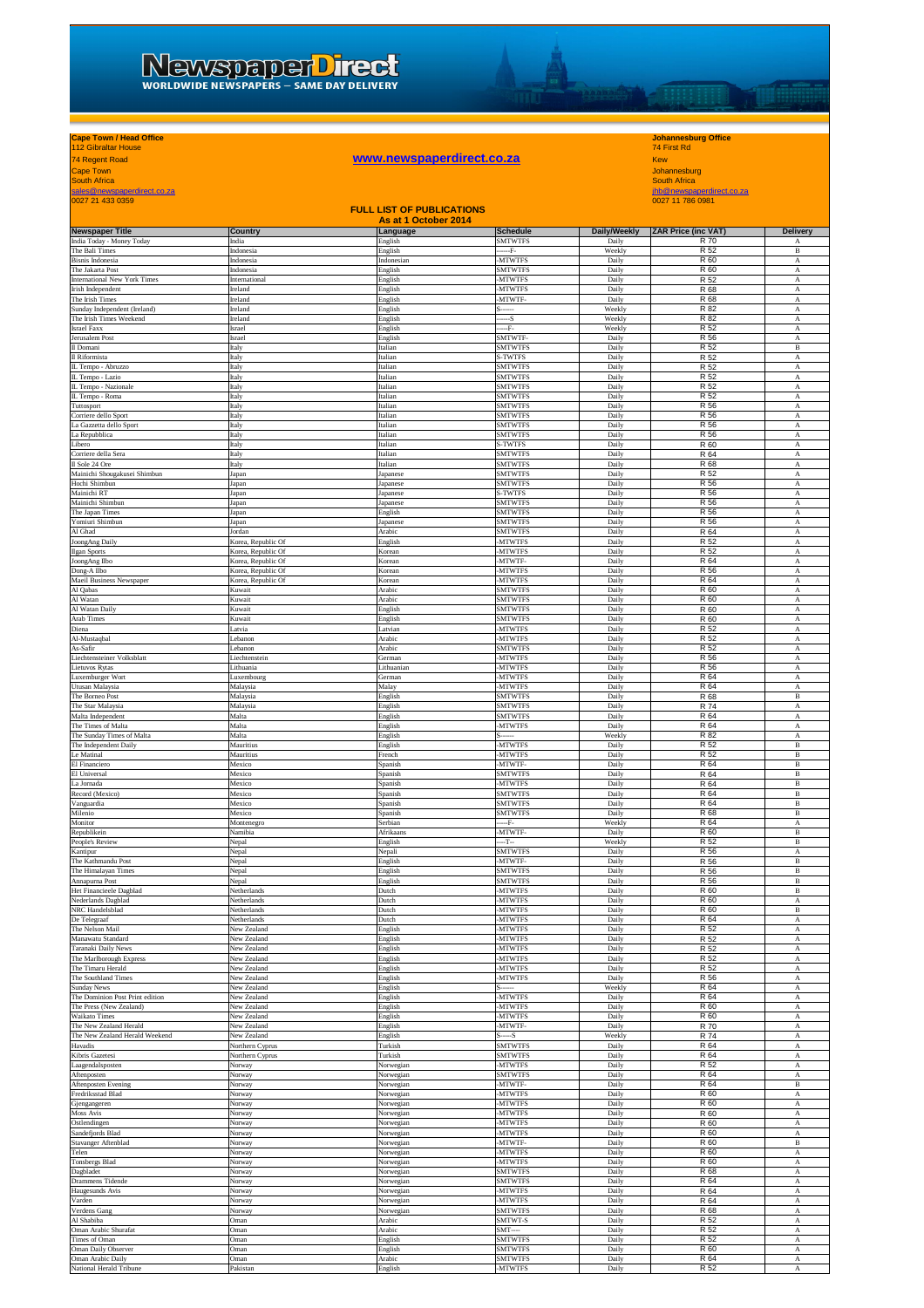## **Cape Town / Head Office Johannesburg Office** 112 Gibraltar House 74 First Rd

LTURE

| 74 Regent Road                                             |                                          | www.newspaperdirect.co.za        |                                   |                       | <b>Kew</b>                          |                                                        |
|------------------------------------------------------------|------------------------------------------|----------------------------------|-----------------------------------|-----------------------|-------------------------------------|--------------------------------------------------------|
| <b>Cape Town</b><br><b>South Africa</b>                    |                                          |                                  |                                   |                       | Johannesburg<br><b>South Africa</b> |                                                        |
| sales@newspaperdirect.co.za                                |                                          |                                  |                                   |                       | ihb@newspaperdirect.co.za           |                                                        |
| 0027 21 433 0359                                           |                                          | <b>FULL LIST OF PUBLICATIONS</b> |                                   |                       | 0027 11 786 0981                    |                                                        |
|                                                            |                                          | As at 1 October 2014             |                                   |                       |                                     |                                                        |
| <b>Newspaper Title</b><br>India Today - Money Today        | Country<br>India                         | Language<br>English              | <b>Schedule</b><br><b>SMTWTFS</b> | Daily/Weekly<br>Daily | <b>ZAR Price (inc VAT)</b><br>R 70  | <b>Delivery</b><br>$_{\rm A}$                          |
| The Bali Times                                             | Indonesia                                | English                          | F.                                | Weekly                | R 52                                | $\, {\bf B}$                                           |
| <b>Bisnis Indonesia</b><br>The Jakarta Post                | Indonesia<br>Indonesia                   | Indonesian<br>English            | <b>MTWTFS</b><br>SMTWTFS          | Daily<br>Daily        | R 60<br>R 60                        | A<br>A                                                 |
| International New York Times                               | International                            | English                          | <b>MTWTFS</b>                     | Daily                 | R 52                                | $\mathbf{A}$                                           |
| Irish Independent<br>The Irish Times                       | Ireland<br>Ireland                       | English<br>English               | <b>MTWTFS</b><br>MTWTF-           | Daily<br>Daily        | R 68<br>R 68                        | А<br>А                                                 |
| Sunday Independent (Ireland)                               | Ireland                                  | English                          |                                   | Weekly                | R 82                                | А                                                      |
| The Irish Times Weekend<br>Israel Faxx                     | Ireland<br>Israel                        | English<br>English               | $-S$<br>--F-                      | Weekly<br>Weekly      | R 82<br>R 52                        | A<br>А                                                 |
| Jerusalem Post                                             | Israel                                   | English                          | <b>MTWTF</b><br><b>SMTWTFS</b>    | Daily<br>Daily        | R 56                                | А                                                      |
| Il Domani<br>Il Riformista                                 | Italy<br>Italy                           | Italian<br>Italian               | S-TWTFS                           | Daily                 | R 52<br>R 52                        | $\mathbf B$<br>$\boldsymbol{A}$                        |
| L Tempo - Abruzzo                                          | Italy                                    | Italian                          | <b>SMTWTFS</b>                    | Daily                 | R 52                                | $_{\rm A}$                                             |
| IL Tempo - Lazio<br>IL Tempo - Nazionale                   | Italy<br>Italy                           | Italian<br>Italian               | <b>SMTWTFS</b><br><b>SMTWTFS</b>  | Daily<br>Daily        | R 52<br>R 52                        | $_{\rm A}$<br>$\boldsymbol{\mathrm{A}}$                |
| L Tempo - Roma                                             | Italy                                    | Italian                          | SMTWTFS                           | Daily                 | R 52                                | A                                                      |
| Tuttosport<br>Corriere dello Sport                         | Italy<br>Italy                           | Italian<br>Italian               | <b>SMTWTFS</b><br><b>SMTWTFS</b>  | Daily<br>Daily        | R 56<br>R 56                        | $\boldsymbol{\mathrm{A}}$<br>$_{\rm A}$                |
| .a Gazzetta dello Sport                                    | Italy                                    | Italian                          | <b>SMTWTFS</b>                    | Daily                 | R 56                                | A                                                      |
| La Repubblica<br>libero                                    | Italy<br>Italy                           | Italian<br>Italian               | <b>SMTWTFS</b><br>-TWTFS          | Daily<br>Daily        | R 56<br>R 60                        | A<br>A                                                 |
| Corriere della Sera                                        | Italy                                    | Italian                          | <b>SMTWTFS</b>                    | Daily                 | R 64                                | $_{\rm A}$                                             |
| Il Sole 24 Ore<br>Mainichi Shougakusei Shimbun             | Italy<br>Japan                           | Italian<br>Japanese              | <b>SMTWTFS</b><br><b>SMTWTFS</b>  | Daily<br>Daily        | R 68<br>R 52                        | $_{\rm A}$<br>$\boldsymbol{A}$                         |
| Hochi Shimbun                                              | Japan                                    | Japanese                         | <b>SMTWTFS</b>                    | Daily                 | R 56                                | $\boldsymbol{A}$                                       |
| Mainichi RT<br>Mainichi Shimbun                            | Japan<br>Japan                           | Japanese                         | S-TWTFS<br><b>SMTWTFS</b>         | Daily<br>Daily        | R 56<br>R 56                        | A<br>A                                                 |
| The Japan Times                                            | Japan                                    | Japanese<br>English              | <b>SMTWTFS</b>                    | Daily                 | R 56                                | A                                                      |
| Yomiuri Shimbun                                            | Japan                                    | Japanese                         | <b>SMTWTFS</b>                    | Daily                 | R 56                                | $\overline{A}$                                         |
| Al Ghad<br>JoongAng Daily                                  | Jordan<br>Korea, Republic Of             | Arabic<br>English                | <b>SMTWTFS</b><br>-MTWTFS         | Daily<br>Daily        | R 64<br>R 52                        | A<br>A                                                 |
| Ilgan Sports                                               | Corea, Republic Of                       | Korean                           | <b>MTWTFS</b>                     | Daily                 | R 52                                | A                                                      |
| JoongAng Ilbo<br>Dong-A Ilbo                               | Korea, Republic Of<br>Korea, Republic Of | Korean<br>Korean                 | MTWTF-<br><b>MTWTFS</b>           | Daily<br>Daily        | R 64<br>R 56                        | A<br>A                                                 |
| Maeil Business Newspaper                                   | Korea, Republic Of                       | Korean                           | <b>MTWTFS</b>                     | Daily                 | R 64                                | А                                                      |
| Al Qabas<br>Al Watan                                       | Kuwait<br>Kuwait                         | Arabic<br>Arabic                 | <b>SMTWTFS</b><br><b>SMTWTFS</b>  | Daily<br>Daily        | R 60<br>R 60                        | $\mathbf{A}$<br>$\boldsymbol{A}$                       |
| Al Watan Daily                                             | Kuwait                                   | English                          | <b>SMTWTFS</b>                    | Daily                 | R 60                                | А                                                      |
| Arab Times<br>Diena                                        | Kuwait<br>Latvia                         | English<br>Latvian               | <b>SMTWTFS</b><br><b>MTWTFS</b>   | Daily<br>Daily        | R 60<br>R 52                        | $\boldsymbol{\mathrm{A}}$<br>$\boldsymbol{\mathrm{A}}$ |
| Al-Mustaqbal                                               | Lebanon                                  | Arabic                           | <b>MTWTFS</b>                     | Daily                 | R 52                                | $\mathbf{A}$                                           |
| As-Safir                                                   | Lebanon                                  | Arabic                           | <b>SMTWTFS</b>                    | Daily                 | R 52                                | $_{\rm A}$                                             |
| Liechtensteiner Volksblatt<br>Lietuvos Rytas               | Liechtenstein<br>Lithuania               | German<br>Lithuanian             | -MTWTFS<br><b>MTWTFS</b>          | Daily<br>Daily        | R 56<br>R 56                        | А<br>А                                                 |
| Luxemburger Wort                                           | <b>uxembourg</b>                         | German                           | <b>MTWTFS</b>                     | Daily                 | R 64                                | А                                                      |
| Utusan Malaysia<br>The Borneo Post                         | Malaysia<br>Malaysia                     | Malay<br>English                 | <b>MTWTFS</b><br><b>SMTWTFS</b>   | Daily<br>Daily        | R 64<br>R 68                        | А<br>$\, {\bf B}$                                      |
| The Star Malaysia                                          | Malaysia                                 | English                          | <b>SMTWTFS</b>                    | Daily                 | <b>R</b> 74                         | $_{\rm A}$                                             |
| Malta Independent<br>The Times of Malta                    | Malta<br>Malta                           | English<br>English               | <b>SMTWTFS</b><br><b>MTWTFS</b>   | Daily<br>Daily        | R 64<br>R 64                        | $\boldsymbol{A}$<br>$\boldsymbol{A}$                   |
| The Sunday Times of Malta                                  | Malta                                    | English                          |                                   | Weekly                | R 82                                | A                                                      |
| The Independent Daily<br>e Matinal                         | Mauritius                                | English                          | <b>MTWTFS</b><br><b>MTWTFS</b>    | Daily<br>Daily        | R 52<br>R 52                        | $\, {\bf B}$<br>$\, {\bf B}$                           |
| El Financiero                                              | Mauritius<br>Mexico                      | French<br>Spanish                | MTWTF-                            | Daily                 | R 64                                | $\overline{B}$                                         |
| El Universal                                               | Mexico                                   | Spanish                          | <b>SMTWTFS</b>                    | Daily                 | R 64                                | $\, {\bf B}$                                           |
| La Jornada<br>Record (Mexico)                              | Mexico<br>Mexico                         | Spanish<br>Spanish               | <b>MTWTFS</b><br><b>SMTWTFS</b>   | Daily<br>Daily        | R 64<br>R 64                        | В<br>$\, {\bf B}$                                      |
| Vanguardia                                                 | Mexico                                   | Spanish                          | <b>SMTWTFS</b>                    | Daily                 | R 64                                | $\, {\bf B}$                                           |
| Milenio<br>Monitor                                         | Mexico<br>Montenegro                     | Spanish<br>Serbian               | <b>SMTWTFS</b><br>--F-            | Daily<br>Weekly       | R 68<br>R 64                        | в<br>А                                                 |
| Republikein                                                | Namibia                                  | Afrikaans                        | MTWTF-                            | Daily                 | R 60                                | В                                                      |
| People's Review<br>Kantipur                                | Nepal<br>Nepal                           | English<br>Nepali                | ---T--<br>SMTWTFS                 | Weekly<br>Daily       | R 52<br>R 56                        | В<br>А                                                 |
| The Kathmandu Post                                         | Nepal                                    | English                          | MTWTF-                            | Daily                 | R 56                                | $\, {\bf B}$                                           |
| The Himalayan Times<br>Annapurna Post                      | Nepal<br>Nepal                           | English<br>English               | <b>SMTWTFS</b><br><b>SMTWTFS</b>  | Daily<br>Daily        | R 56<br>R 56                        | $\, {\bf B}$<br>$\, {\bf B}$                           |
| Het Financieele Dagblad                                    | Netherlands                              | Dutch                            | <b>MTWTFS</b>                     | Daily                 | R 60                                | $\, {\bf B}$                                           |
| Nederlands Dagblad<br>NRC Handelsblad                      | Netherlands<br>Netherlands               | Dutch<br>Dutch                   | -MTWTFS<br><b>MTWTFS</b>          | Daily<br>Daily        | R 60<br>R 60                        | A<br>$\, {\bf B}$                                      |
| De Telegraaf                                               | Netherlands                              | Dutch                            | <b>MTWTFS</b>                     | Daily                 | R 64                                | А                                                      |
| The Nelson Mail                                            | New Zealand                              | English                          | <b>MTWTFS</b>                     | Daily                 | R 52                                | $_{\rm A}$                                             |
| Manawatu Standard<br>Taranaki Daily News                   | New Zealand<br>New Zealand               | English<br>English               | <b>MTWTFS</b><br><b>MTWTFS</b>    | Daily<br>Daily        | R 52<br>R 52                        | $_{\rm A}$<br>$\mathbf{A}$                             |
| The Marlborough Express                                    | New Zealand                              | English                          | -MTWTFS                           | Daily                 | R 52                                | $\boldsymbol{A}$                                       |
| The Timaru Herald<br>The Southland Times                   | New Zealand<br>New Zealand               | English<br>English               | <b>MTWTFS</b><br><b>MTWTFS</b>    | Daily<br>Daily        | R 52<br>R 56                        | $\boldsymbol{A}$<br>$_{\rm A}$                         |
| <b>Sunday News</b>                                         | New Zealand                              | English                          |                                   | Weekly                | R 64                                | $\boldsymbol{\rm A}$                                   |
| The Dominion Post Print edition<br>The Press (New Zealand) | New Zealand<br>New Zealand               | English<br>English               | <b>MTWTFS</b><br><b>MTWTFS</b>    | Daily<br>Daily        | R 64<br>R 60                        | A<br>$\boldsymbol{\rm A}$                              |
| Waikato Times                                              | New Zealand                              | English                          | <b>MTWTFS</b>                     | Daily                 | R 60                                | $\boldsymbol{A}$                                       |
| The New Zealand Herald<br>The New Zealand Herald Weekend   | New Zealand<br>New Zealand               | English<br>English               | MTWTF-<br>S                       | Daily<br>Weekly       | R 70<br>R 74                        | А<br>А                                                 |
| Havadis                                                    | Northern Cyprus                          | Turkish                          | <b>SMTWTFS</b>                    | Daily                 | R 64                                | $\boldsymbol{\rm A}$                                   |
| Kibris Gazetesi                                            | Northern Cyprus                          | Turkish                          | <b>SMTWTFS</b><br><b>MTWTFS</b>   | Daily                 | R 64<br>R 52                        | $\mathbf A$                                            |
| Laagendalsposten<br>Aftenposten                            | Norway<br>Norway                         | Norwegian<br>Norwegian           | <b>SMTWTFS</b>                    | Daily<br>Daily        | R 64                                | $\mathbf{A}$<br>$\boldsymbol{A}$                       |
| Aftenposten Evening                                        | Norway                                   | Norwegian                        | -MTWTF-                           | Daily                 | R 64                                | В                                                      |
| Fredriksstad Blad<br>Gjengangeren                          | Norway<br>Norway                         | Norwegian<br>Norwegian           | <b>MTWTFS</b><br><b>MTWTFS</b>    | Daily<br>Daily        | R 60<br>R 60                        | А<br>$\mathbf A$                                       |
| Moss Avis                                                  | Norway                                   | Norwegian                        | <b>MTWTFS</b>                     | Daily                 | R 60                                | $_{\rm A}$                                             |
| Ostlendingen<br>Sandefjords Blad                           | Norway<br>Norway                         | Norwegian<br>Norwegian           | <b>MTWTFS</b><br><b>MTWTFS</b>    | Daily<br>Daily        | R 60<br>R 60                        | $_{\rm A}$<br>$_{\rm A}$                               |
| Stavanger Aftenblad                                        | Norway                                   | Norwegian                        | -MTWTF-                           | Daily                 | R 60                                | B                                                      |
| Telen<br>Tonsbergs Blad                                    | Norway<br>Norway                         | Norwegian<br>Norwegian           | <b>MTWTFS</b><br><b>MTWTFS</b>    | Daily<br>Daily        | R 60<br>R 60                        | А<br>$\mathbf{A}$                                      |
| Dagbladet                                                  | Norway                                   | Norwegian                        | <b>SMTWTFS</b>                    | Daily                 | R 68                                | $_{\rm A}$                                             |
| Drammens Tidende<br>Haugesunds Avis                        | Norway<br>Norway                         | Norwegian                        | <b>SMTWTFS</b><br><b>MTWTFS</b>   | Daily<br>Daily        | R 64<br>R 64                        | $_{\rm A}$<br>$\mathbf{A}$                             |
| Varden                                                     | Norway                                   | Norwegian<br>Norwegian           | -MTWTFS                           | Daily                 | R 64                                | $\boldsymbol{A}$                                       |
| Verdens Gang                                               | Norway                                   | Norwegian                        | <b>SMTWTFS</b>                    | Daily                 | R 68                                | $\boldsymbol{A}$                                       |

Al Shabiba Oman Arabic SMTWT-S Daily R 52 A Oman Arabic Shurafat Oman Arabic SMT---- Daily R 52 A Times of Oman **Definition** Oman **Channel Company Company** English SMTWTFS Daily Daily R 52 A Oman Daily Observer **South States Coman** Coman **Communist Company Daily Communist Communist Communist Communist Communist Communist Communist Communist Communist Communist Communist Communist Communist Communist Communist** Oman Arabic Daily **Community Community Community Community** Arabic **Community Community Community Community Arabic** Arabic **Community Community Community Community Arabic** A National Herald Tribune **Pakistan** Pakistan **English -MTWTFS Daily Pakistan** A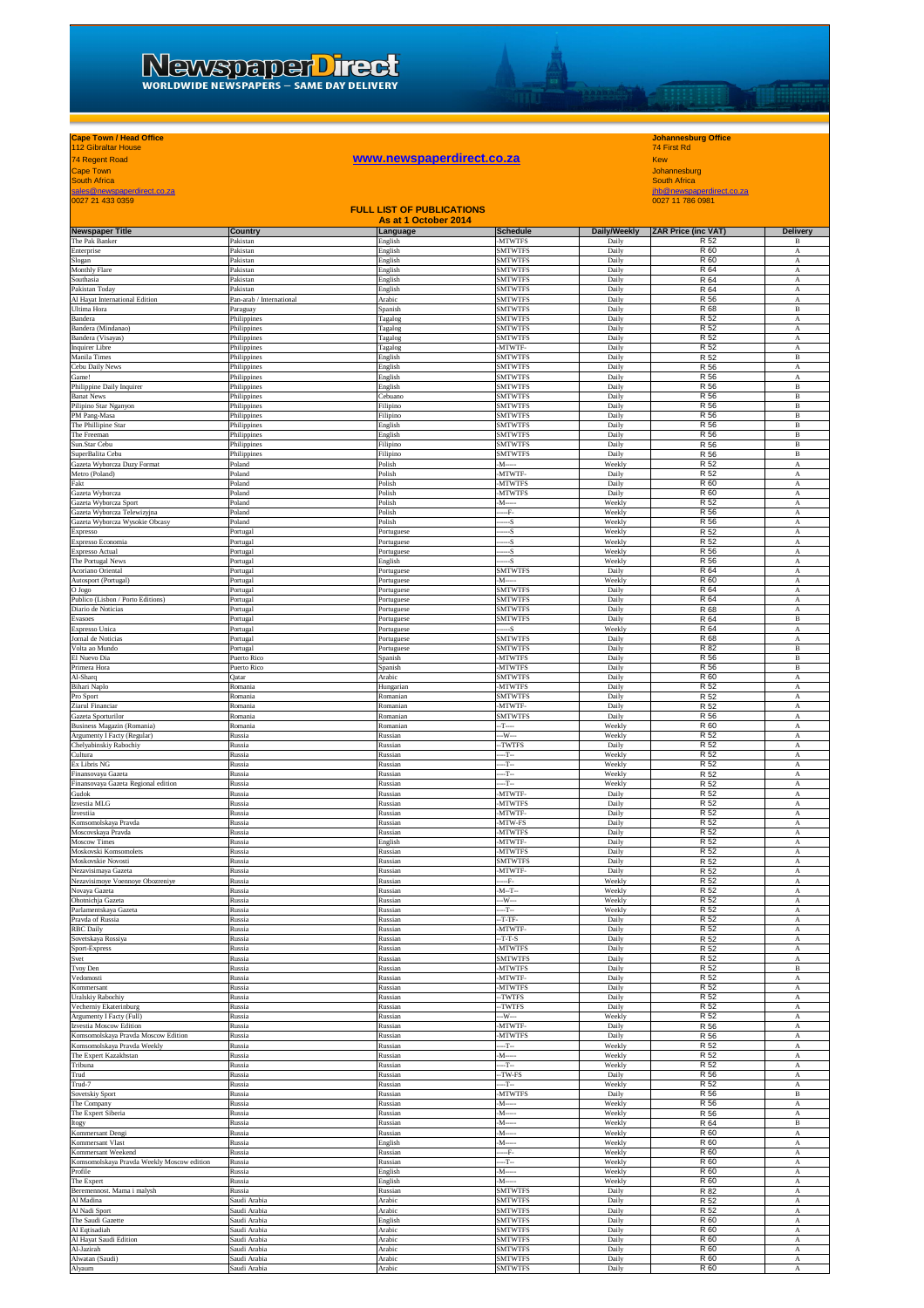## **Cape Town / Head Office Johannesburg Office** 112 Gibraltar House 74 First Rd

## **Cape Town / Head Office**<br>112 Gibraltar House 112 Gibraltar House 112 Gibraltar House 112 Gibraltar House 114 First Rd<br>24 Regent Road Kew<br>South Africa South Africa

Daudi

Cape Town Johannesburg South Africa South Africa South Africa South Africa South Africa South Africa South Africa South Africa South Africa

sales@newspaperdirect.co.za<br>0027 21 433 0359 0027 11 786 0981 0027 11 786 0981 0027 11 786 0981 0027 11 786 0981 0027 11 786 0981 0027 11 As at 1 October 2014 **Newspaper Title Country Assumed Assumed Assumed Assumed Assumed Assumed Schedule Daily/Weekly 2AR Price (inc VAT)** Delivery<br>
The Pak Banker **Pakistan Pakistan** Pakistan *English* MITWITFS Daily R 52 B **FULL LIST OF PUBLICATIONS** The Pak Banker **Reduced Banker Pakistan Banker Banker Banker Banker Banker Banker Banker Banker Banker Banker Banker Banker Banker Banker Banker Banker Banker Banker Banker Banker Banker Banker Banker Banker Banker Banker** Enterprise Pakistan English SMTWTFS Daily R 60 A Slogan Pakistan English SMTWTFS Daily R 60 A Monthly Flare **Rakistan Pakistan B** Pakistan B SMTWTFS **Pakistan B Pakistan B R 64** A Southasia Pakistan English SMTWTFS Daily R 64 A Pakistan Today Pakistan English SMTWTFS Daily R 64 A Al Hayat International Edition Pan-arab / International Arabic SMTWTFS Daily R 56 A Ultima Hora Paraguay Spanish SMTWTFS Daily R 68 B Bandera **Philippines** Philippines Tagalog SMTWTFS Bandera Daily R 52 A Bandera (Mindanao) **Philippines** Philippines **Philippines** Ragalog SMTWTFS **Philippines** A Bandera (Visayas) **Philippines** Philippines **Philippines Company Company Company Company Company Company R 52 A** Inquirer Libre Philippines Tagalog -MTWTF- Daily R 52 A Manila Times **Example 2** Philippines **Philippines** English SMTWTFS Daily Daily R 52 B Cebu Daily News **Philippines** Philippines **Philippines English SMTWTFS Philippines** A Game! Philippines English SMTWTFS Daily R 56 A Philippine Daily Inquirer **Philippines** Philippines **English SMTWTFS** Daily Daily R 56 B Banat News **Reserves** Philippines **Philippines** Cebuano Cebuano SMTWTFS Daily Daily R 56 B Pilipino Star Nganyon Philippines Filipino SMTWTFS Daily R 56 B PM Pang-Masa Philippines Filipino SMTWTFS Daily R 56 B The Phillipine Star **Example 20** Philippines **Philippines English** English SMTWTFS Daily Daily R 56 B The Freeman **Example 2** Philippines **Philippines Benefits Benefitsh SMTWTFS** Baily Daily R 56 B Sun.Star Cebu **Philippines** Philippines Filipino **Filipino** SMTWTFS Daily Daily R 56 B SuperBalita Cebu Philippines Filipino SMTWTFS Daily R 56 B olish Mandal Polish - Weekly R 52 Acta Wyborcza Duzy Format Poland Polish - M----- Weekly R 52<br>Hero (Poland --- Poland --- Poland --- Polish --- -- -- -- -- -- - -- - - - - - - Daily R 52<br>Art --- -- -- - -- - -- - -- - --Metro (Poland) Poland Polish -MTWTF- Daily R 52 A Fakt Poland Polish -MTWTFS Daily R 60 A Gazeta Wyborcza Poland Polish -MTWTFS Daily R 60 A

| Gazeta Wyborcza Sport                      |              | Polish     | -MTWTFS              | Daily          | <b>R 60</b>     |                           |
|--------------------------------------------|--------------|------------|----------------------|----------------|-----------------|---------------------------|
|                                            | Poland       | Polish     | $-M-$                | Weekly         | R 52            | $\mathbf A$               |
| Gazeta Wyborcza Telewizyjna                | Poland       | Polish     | $-F-$                | Weekly         | R 56            | $\boldsymbol{\rm A}$      |
| Gazeta Wyborcza Wysokie Obcasy             | Poland       | Polish     | --S                  | Weekly         | R 56            | $\mathbf A$               |
| Expresso                                   | Portugal     | Portuguese | --S                  | Weekly         | R 52            | A                         |
| Expresso Economia                          | Portugal     | Portugues  | $-S$                 | Weekly         | R 52            | $_{\rm A}$                |
| Expresso Actual                            | Portugal     | Portuguese | $-S$                 | Weekly         | R 56            | A                         |
|                                            |              |            | $-S$                 |                | R 56            | $\overline{A}$            |
| The Portugal News                          | Portugal     | English    |                      | Weekly         |                 |                           |
| Acoriano Oriental                          | Portugal     | Portuguese | <b>SMTWTFS</b>       | Daily          | R 64            | $_{\rm A}$                |
| Autosport (Portugal)                       | Portugal     | Portuguese | $-M$ -----           | Weekly         | R 60            | $\mathbf A$               |
| ogol <sub>O</sub>                          | Portugal     | Portuguese | <b>SMTWTFS</b>       | Daily          | R 64            | A                         |
| Publico (Lisbon / Porto Editions)          | Portugal     | Portuguese | <b>SMTWTFS</b>       | Daily          | R 64            | A                         |
| Diario de Noticias                         | Portugal     | Portugues  | <b>SMTWTFS</b>       | Daily          | R 68            | $\overline{A}$            |
| Evasoes                                    | Portugal     | Portuguese | <b>SMTWTFS</b>       | Daily          | R 64            | $\, {\bf B}$              |
| <b>Expresso Unica</b>                      | Portugal     | Portuguese | $-S$                 | Weekly         | R 64            | A                         |
|                                            |              |            | <b>SMTWTFS</b>       |                | R 68            |                           |
| Jornal de Noticias<br>Volta ao Mundo       | Portugal     | Portuguese | <b>SMTWTFS</b>       | Daily<br>Daily | R 82            | $\mathbf A$<br>B          |
|                                            | Portugal     | Portuguese |                      |                |                 |                           |
| El Nuevo Dia                               | Puerto Rico  | Spanish    | <b>MTWTFS</b>        | Daily          | R 56            | $\, {\bf B}$              |
| Primera Hora                               | Puerto Rico  | Spanish    | -MTWTFS              | Daily          | R 56            | $\, {\bf B}$              |
| Al-Sharq                                   | Qatar        | Arabic     | <b>SMTWTFS</b>       | Daily          | R 60            | $_{\rm A}$                |
| Bihari Naplo                               | Romania      | Hungariar  | -MTWTFS              | Daily          | R 52            | A                         |
| Pro Sport                                  | Romania      | Romanian   | <b>SMTWTFS</b>       | Daily          | R 52            | $\overline{A}$            |
| Ziarul Financiar                           | Romania      | Romanian   | -MTWTF-              | Daily          | R 52            | A                         |
| Gazeta Sporturilor                         | Romania      | Romanian   | <b>SMTWTFS</b>       | Daily          | R 56            | $\overline{A}$            |
|                                            |              |            |                      |                | R 60            |                           |
| <b>Business Magazin (Romania)</b>          | Romania      | Romanian   | $-T-$                | Weekly         |                 | A                         |
| Argumenty I Facty (Regular)                | Russia       | Russian    | $-W-$                | Weekly         | R 52            | A                         |
| Chelyabinskiy Rabochiy                     | Russia       | Russian    | -TWTFS               | Daily          | R 52            | $\overline{A}$            |
| Cultura                                    | Russia       | Russian    | $-T$ --              | Weekly         | R 52            | $\boldsymbol{A}$          |
| Ex Libris NG                               | Russia       | Russian    | --T--                | Weekly         | R 52            | $_{\rm A}$                |
| Finansovaya Gazeta                         | Russia       | Russian    | $-T-$                | Weekly         | R 52            | $\mathbf A$               |
| Finansovaya Gazeta Regional edition        | Russia       | Russian    | $-T$                 | Weekly         | R 52            | $\boldsymbol{\rm A}$      |
| Gudok                                      | Russia       | Russian    | MTWTF-               | Daily          | R 52            | $\mathbf A$               |
|                                            |              |            |                      |                | R 52            |                           |
| Izvestia MLG                               | Russia       | Russian    | -MTWTFS              | Daily          |                 | $_{\rm A}$                |
| Izvestiia                                  | Russia       | Russian    | -MTWTF               | Daily          | R 52            | $\overline{A}$            |
| Komsomolskaya Pravda                       | Russia       | Russian    | -MTW-FS              | Daily          | R 52            | A                         |
| Moscovskaya Pravda                         | Russia       | Russian    | -MTWTFS              | Daily          | R 52            | $\overline{A}$            |
| Moscow Times                               | Russia       | English    | -MTWTF-              | Daily          | R 52            | $_{\rm A}$                |
| Moskovski Komsomolets                      | Russia       | Russian    | <b>MTWTFS</b>        | Daily          | R 52            | $\mathbf{A}$              |
| Moskovskie Novosti                         | Russia       | Russian    | <b>SMTWTFS</b>       | Daily          | R 52            | A                         |
| Nezavisimaya Gazeta                        | Russia       | Russian    | -MTWTF               | Daily          | R 52            | $\overline{A}$            |
|                                            |              |            | $-F$                 | Weekly         | R 52            | $\mathbf{A}$              |
| Nezavisimoye Voennoye Obozreniye           | Russia       | Russian    |                      |                |                 |                           |
| Novaya Gazeta                              | Russia       | Russian    | $-M-T-$              | Weekly         | R 52            | $\boldsymbol{A}$          |
| Ohotnichja Gazeta                          | Russia       | Russian    | $-W-$                | Weekly         | R 52            | $_{\rm A}$                |
| Parlamentskaya Gazeta                      | Russia       | Russian    | $-T-$                | Weekly         | R 52            | $_{\rm A}$                |
| Pravda of Russia                           | Russia       | Russian    | $-T-TF$              | Daily          | R 52            | $\mathbf A$               |
| <b>RBC</b> Daily                           | Russia       | Russian    | <b>MTWTF</b>         | Daily          | R 52            | $\mathbf A$               |
| Sovetskaya Rossiya                         | Russia       | Russian    | $-T-T-S$             | Daily          | R 52            | $_{\rm A}$                |
|                                            |              | Russian    | -MTWTFS              | Daily          | R 52            | $\overline{A}$            |
|                                            |              |            |                      |                |                 |                           |
| Sport-Express                              | Russia       |            |                      |                |                 |                           |
| Svet                                       | Russia       | Russian    | <b>SMTWTFS</b>       | Daily          | R 52            | $_{\rm A}$                |
| Tvoy Den                                   | Russia       | Russian    | -MTWTFS              | Daily          | R 52            | $\, {\bf B}$              |
| Vedomosti                                  | Russia       | Russian    | -MTWTF-              | Daily          | R 52            | $_{\rm A}$                |
| Kommersant                                 | Russia       | Russian    | <b>MTWTFS</b>        | Daily          | R 52            | $\mathbf{A}$              |
| Jralskiy Rabochiy                          | Russia       | Russian    | -TWTFS               | Daily          | R 52            | A                         |
| Vecherniy Ekaterinburg                     | Russia       | Russian    | -TWTFS               | Daily          | R 52            | A                         |
|                                            |              | Russian    | $-W-$                | Weekly         | R 52            | $\mathbf{A}$              |
| Argumenty I Facty (Full)                   | Russia       |            |                      |                |                 |                           |
| <b>Izvestia Moscow Edition</b>             | Russia       | Russian    | -MTWTF-              | Daily          | R 56            | $\boldsymbol{A}$          |
| Komsomolskaya Pravda Moscow Edition        | Russia       | Russian    | -MTWTFS              | Daily          | R 56            | $_{\rm A}$                |
| Komsomolskaya Pravda Weekly                | Russia       | Russian    | --T--                | Weekly         | R 52            | $_{\rm A}$                |
| The Expert Kazakhstan                      | Russia       | Russian    | $M-$                 | Weekly         | R 52            | $\mathbf A$               |
| Tribuna                                    | Russia       | Russian    | $-T$                 | Weekly         | R 52            | A                         |
| Trud                                       | Russia       | Russian    | -TW-FS               | Daily          | R 56            | $\boldsymbol{\mathrm{A}}$ |
| Trud-7                                     | Russia       | Russian    | -т.                  | Weekly         | R 52            | $\overline{A}$            |
|                                            | Russia       | Russian    | -MTWTFS              | Daily          | R 56            | $\, {\bf B}$              |
| Sovetskiy Sport                            |              | Russian    |                      |                |                 |                           |
| The Company                                | Russia       |            | $-M -$<br>$-M$ ----- | Weekly         | R 56            | $\mathbf A$               |
| The Expert Siberia                         | Russia       | Russian    |                      | Weekly         | R 56            | A                         |
| Itogy                                      | Russia       | Russian    | $-M$ -----           | Weekly         | R 64            | $\mathbf B$               |
| Kommersant Dengi                           | Russia       | Russian    | -M--                 | Weekly         | R 60            | A                         |
| Kommersant Vlast                           | Russia       | English    | -M--                 | Weekly         | R 60            | А                         |
| Kommersant Weekend                         | Russia       | Russian    | F.                   | Weekly         | R 60            | $\overline{A}$            |
| Komsomolskaya Pravda Weekly Moscow edition | Russia       | Russian    | $-T$ --              | Weekly         | R 60            | $\boldsymbol{A}$          |
| Profile                                    | Russia       | English    | $-M-$                | Weekly         | R 60            | $_{\rm A}$                |
|                                            | Russia       |            | $-M -$               |                | R 60            |                           |
| The Expert                                 |              | English    |                      | Weekly         |                 | $\mathbf A$               |
| Beremennost. Mama i malysh                 | Russia       | Russian    | <b>SMTWTFS</b>       | Daily          | R 82            | $\overline{A}$            |
| Al Madina                                  | Saudi Arabia | Arabic     | <b>SMTWTFS</b>       | Daily          | R <sub>52</sub> | $\mathbf A$               |
| Al Nadi Sport                              | Saudi Arabia | Arabic     | <b>SMTWTFS</b>       | Daily          | R 52            | $\mathbf A$               |
| The Saudi Gazette                          | Saudi Arabia | English    | <b>SMTWTFS</b>       | Daily          | R 60            | $\overline{A}$            |
| Al Eqtisadiah                              | Saudi Arabia | Arabic     | <b>SMTWTFS</b>       | Daily          | R 60            | $\boldsymbol{\rm A}$      |
| Al Hayat Saudi Edition                     | Saudi Arabia | Arabic     | <b>SMTWTFS</b>       | Daily          | R 60            | $\mathbf A$               |
| Al-Jazirah                                 | Saudi Arabia | Arabic     | <b>SMTWTFS</b>       | Daily          | R 60            | $\mathbf A$               |
| Alwatan (Saudi)                            | Saudi Arabia | Arabic     | <b>SMTWTFS</b>       | Daily          | R 60            | $\overline{A}$            |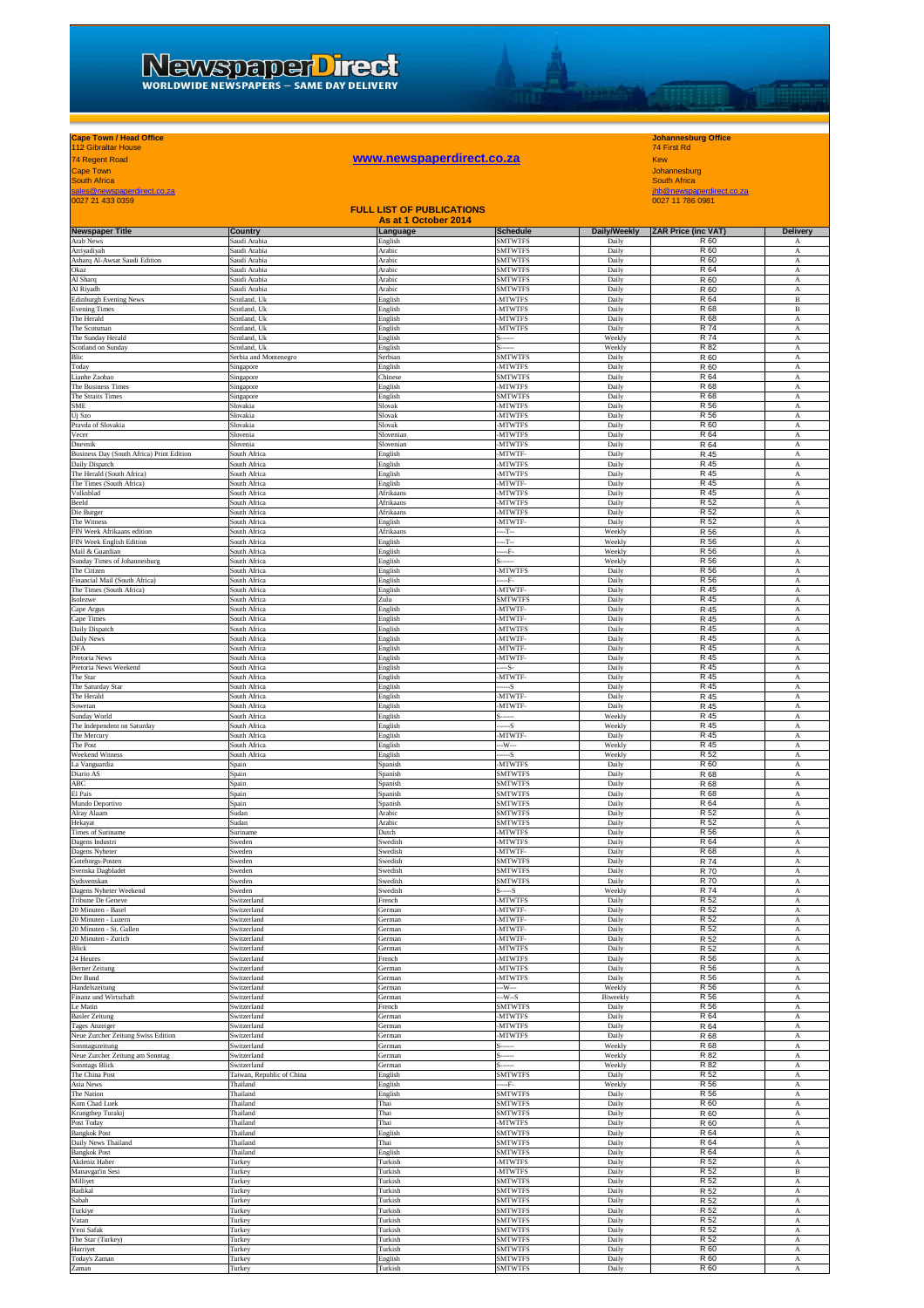# 74 Regent Road **www.newspaperdirect.co.za** Kew

## **Cape Town / Head Office Johannesburg Office** 112 Gibraltar House 74 First Rd

DATE

Cape Town Johannesburg<br>South Africa<br>sales@newspaperdirect.co.za jhb@newspaperdirect.co.za jhb@newspaperdirect.co.za jhb@newspaperdirect.co.za jhb@newspaperdirect.co.za

| 0027 21 433 0359                                        |                              | <b>FULL LIST OF PUBLICATIONS</b> |                                  |                   | 0027 11 786 0981           |                                               |
|---------------------------------------------------------|------------------------------|----------------------------------|----------------------------------|-------------------|----------------------------|-----------------------------------------------|
|                                                         |                              | As at 1 October 2014             |                                  |                   |                            |                                               |
| <b>Newspaper Title</b>                                  | Country                      | Language                         | <b>Schedule</b>                  | Daily/Weekly      | <b>ZAR Price (inc VAT)</b> | <b>Delivery</b>                               |
| Arab News<br>Arriyadiyah                                | Saudi Arabia<br>Saudi Arabia | English<br>Arabic                | <b>SMTWTFS</b><br><b>SMTWTFS</b> | Daily<br>Daily    | R 60<br>R 60               | A<br>$\mathbf A$                              |
| Asharq Al-Awsat Saudi Edition                           | Saudi Arabia                 | Arabic                           | <b>SMTWTFS</b>                   | Daily             | R 60                       | $_{\rm A}$                                    |
| Okaz<br>Al Sharq                                        | Saudi Arabia<br>Saudi Arabia | Arabic<br>Arabic                 | <b>SMTWTFS</b><br><b>SMTWTFS</b> | Daily<br>Daily    | R 64<br>R 60               | $_{\rm A}$<br>$_{\rm A}$                      |
| Al Riyadh                                               | Saudi Arabia                 | Arabic                           | <b>SMTWTFS</b>                   | Daily             | R 60                       | A                                             |
| <b>Edinburgh Evening News</b><br><b>Evening Times</b>   | Scotland, Uk<br>Scotland, Uk | English<br>English               | <b>MTWTFS</b><br><b>MTWTFS</b>   | Daily<br>Daily    | R 64<br>R 68               | $\, {\bf B}$<br>$\, {\bf B}$                  |
| The Herald                                              | Scotland, Uk                 | English                          | <b>MTWTFS</b>                    | Daily             | R 68                       | А                                             |
| The Scotsman                                            | Scotland, Uk                 | English                          | -MTWTFS                          | Daily             | R 74                       | А                                             |
| The Sunday Herald<br>Scotland on Sunday                 | Scotland, Uk<br>Scotland, Uk | English<br>English               |                                  | Weekly<br>Weekly  | R 74<br>R 82               | A<br>А                                        |
| Blic                                                    | Serbia and Montenegro        | Serbian                          | <b>SMTWTFS</b>                   | Daily             | R 60                       | $\boldsymbol{\rm A}$                          |
| Today<br>Lianhe Zaobao                                  | Singapore<br>Singapore       | English<br>Chinese               | <b>MTWTFS</b><br><b>SMTWTFS</b>  | Daily<br>Daily    | R 60<br>R 64               | А<br>$_{\rm A}$                               |
| The Business Times                                      | Singapore                    | English                          | -MTWTFS                          | Daily             | R 68                       | $_{\rm A}$                                    |
| The Straits Times                                       | Singapore                    | English                          | <b>SMTWTFS</b>                   | Daily             | R 68                       | $_{\rm A}$                                    |
| <b>SME</b><br>Uj Szo                                    | Slovakia<br>Slovakia         | Slovak<br>Slovak                 | <b>MTWTFS</b><br>-MTWTFS         | Daily<br>Daily    | R 56<br>R 56               | A<br>$\boldsymbol{\rm A}$                     |
| Pravda of Slovakia                                      | Slovakia                     | Slovak                           | <b>MTWTFS</b>                    | Daily             | R 60                       | A                                             |
| Vecer<br>Dnevnik                                        | Slovenia<br>Slovenia         | Sloveniar<br>Slovenian           | <b>MTWTFS</b><br><b>MTWTFS</b>   | Daily<br>Daily    | R 64<br>R 64               | $\boldsymbol{\rm A}$<br>А                     |
| Business Day (South Africa) Print Edition               | South Africa                 | English                          | MTWTF-                           | Daily             | R 45                       | A                                             |
| Daily Dispatch<br>The Herald (South Africa)             | South Africa<br>South Africa | English                          | <b>MTWTFS</b><br><b>MTWTFS</b>   | Daily<br>Daily    | R 45<br>R 45               | А                                             |
| The Times (South Africa)                                | South Africa                 | English<br>English               | MTWTF-                           | Daily             | R 45                       | $\mathbf A$<br>A                              |
| Volksblad                                               | South Africa                 | Afrikaans                        | <b>MTWTFS</b>                    | Daily             | R 45                       | $\mathbf A$                                   |
| Beeld<br>Die Burger                                     | South Africa<br>South Africa | Afrikaans<br>Afrikaans           | <b>MTWTFS</b><br>-MTWTFS         | Daily<br>Daily    | R 52<br>R 52               | $_{\rm A}$<br>$_{\rm A}$                      |
| The Witness                                             | South Africa                 | English                          | MTWTF-                           | Daily             | R 52                       | А                                             |
| FIN Week Afrikaans edition                              | South Africa                 | Afrikaans                        | $-T-$                            | Weekly            | R 56                       | $\boldsymbol{\mathrm{A}}$                     |
| FIN Week English Edition<br>Mail & Guardian             | South Africa<br>South Africa | English<br>English               | $-T-$<br>F.                      | Weekly<br>Weekly  | R 56<br>R 56               | $\mathbf A$<br>A                              |
| Sunday Times of Johannesburg                            | South Africa                 | English                          |                                  | Weekly            | R 56                       | $_{\rm A}$                                    |
| The Citizen<br>Financial Mail (South Africa)            | South Africa<br>South Africa | English<br>English               | -MTWTFS<br>F.                    | Daily<br>Daily    | R 56<br>R 56               | А<br>А                                        |
| The Times (South Africa)                                | South Africa                 | English                          | MTWTF-                           | Daily             | R 45                       | А                                             |
| Isolezwe                                                | South Africa                 | Zulu                             | <b>SMTWTFS</b>                   | Daily             | R 45                       | А                                             |
| Cape Argus<br>Cape Times                                | South Africa<br>South Africa | English<br>English               | MTWTF-<br>-MTWTF-                | Daily<br>Daily    | R 45<br>R 45               | $\mathbf A$<br>$_{\rm A}$                     |
| Daily Dispatch                                          | South Africa                 | English                          | -MTWTFS                          | Daily             | R 45                       | $_{\rm A}$                                    |
| Daily News                                              | South Africa                 | English                          | -MTWTF-                          | Daily             | R 45                       | А                                             |
| DFA<br>Pretoria News                                    | South Africa<br>South Africa | English<br>English               | MTWTF<br>MTWTF-                  | Daily<br>Daily    | R 45<br>R 45               | А<br>$\boldsymbol{\rm A}$                     |
| Pretoria News Weekend                                   | South Africa                 | English                          | -S-                              | Daily             | R 45                       | A                                             |
| The Star<br>The Saturday Star                           | South Africa<br>South Africa | English<br>English               | MTWTF-<br>-S                     | Daily<br>Daily    | R 45<br>R 45               | $_{\rm A}$<br>А                               |
| The Herald                                              | South Africa                 | English                          | MTWTF-                           | Daily             | R 45                       | А                                             |
| Sowetan                                                 | South Africa                 | English                          | MTWTF-                           | Daily             | R 45                       | А                                             |
| Sunday World<br>The Independent on Saturday             | South Africa<br>South Africa | English<br>English               | -S                               | Weekly<br>Weekly  | R 45<br>R 45               | А<br>$\mathbf A$                              |
| The Mercury                                             | South Africa                 | English                          | <b>MTWTF</b>                     | Daily             | R 45                       | А                                             |
| The Post<br>Weekend Witness                             | South Africa                 | English                          | -W---                            | Weekly            | R 45                       | $_{\rm A}$                                    |
| La Vanguardia                                           | South Africa<br>Spain        | English<br>Spanish               | --S<br><b>MTWTFS</b>             | Weekly<br>Daily   | R 52<br>R 60               | А<br>А                                        |
| Diario AS                                               | Spain                        | Spanish                          | <b>SMTWTFS</b>                   | Daily             | R 68                       | $\boldsymbol{\rm A}$                          |
| $\rm{ABC}$<br>El Pais                                   | Spain<br>Spain               | Spanish<br>Spanish               | <b>SMTWTFS</b><br><b>SMTWTFS</b> | Daily<br>Daily    | R 68<br>R 68               | $\mathbf A$<br>$_{\rm A}$                     |
| Mundo Deportivo                                         | Spain                        | Spanish                          | <b>SMTWTFS</b>                   | Daily             | R 64                       | $_{\rm A}$                                    |
| Alray Alaam                                             | Sudan                        | Arabic                           | <b>SMTWTFS</b>                   | Daily             | R 52                       | А                                             |
| Hekayat<br>Times of Suriname                            | Sudan<br>Suriname            | Arabic<br>Dutch                  | <b>SMTWTFS</b><br><b>MTWTFS</b>  | Daily<br>Daily    | R 52<br>R 56               | А<br>А                                        |
| Dagens Industri                                         | Sweden                       | Swedish                          | <b>MTWTFS</b>                    | Daily             | R 64                       | $\boldsymbol{\rm A}$                          |
| Dagens Nyheter<br>Goteborgs-Posten                      | Sweden<br>Sweden             | Swedish<br>Swedish               | MTWTF-<br><b>SMTWTFS</b>         | Daily<br>Daily    | R 68<br>R 74               | $_{\rm A}$<br>$_{\rm A}$                      |
| Svenska Dagbladet                                       | Sweden                       | Swedish                          | <b>SMTWTFS</b>                   | Daily             | R 70                       | $_{\rm A}$                                    |
| Sydsvenskan                                             | Sweden                       | Swedish                          | <b>SMTWTFS</b>                   | Daily             | R 70                       | А                                             |
| T<br><b>Dagens Nyheter Weekend</b><br>Tribune De Geneve | weder<br>Switzerland         | Swedisl<br>French                | <b>MTWTFS</b>                    | Weekl<br>Daily    | R 74<br>R 52               | $\mathbf A$                                   |
| 20 Minuten - Basel                                      | Switzerland                  | German                           | -MTWTF-                          | Daily             | R 52                       | A                                             |
| 20 Minuten - Luzern                                     | Switzerland                  | German                           | MTWTF-                           | Daily             | R 52                       | А                                             |
| 20 Minuten - St. Gallen<br>20 Minuten - Zurich          | Switzerland<br>Switzerland   | German<br>German                 | -MTWTF-<br>MTWTF-                | Daily<br>Daily    | R 52<br>R 52               | А<br>А                                        |
| Blick                                                   | Switzerland                  | German                           | <b>MTWTFS</b>                    | Daily             | R 52                       | А                                             |
| 24 Heures<br><b>Berner Zeitung</b>                      | Switzerland<br>Switzerland   | French<br>German                 | <b>MTWTFS</b><br><b>MTWTFS</b>   | Daily<br>Daily    | R 56<br>R 56               | $\boldsymbol{\rm A}$<br>А                     |
| Der Bund                                                | Switzerland                  | German                           | <b>MTWTFS</b>                    | Daily             | R 56                       | $_{\rm A}$                                    |
| Handelszeitung                                          | Switzerland                  | German                           | --W---                           | Weekly            | R 56                       | $_{\rm A}$                                    |
| Finanz und Wirtschaft<br>Le Matin                       | Switzerland<br>Switzerland   | German<br>French                 | $-W-S$<br><b>SMTWTFS</b>         | Biweekly<br>Daily | R 56<br>R 56               | А<br>А                                        |
| <b>Basler Zeitung</b>                                   | Switzerland                  | German                           | -MTWTFS                          | Daily             | R 64                       | А                                             |
| Tages Anzeiger<br>Neue Zurcher Zeitung Swiss Edition    | Switzerland<br>Switzerland   | German<br>German                 | <b>MTWTFS</b><br>-MTWTFS         | Daily<br>Daily    | R 64<br>R 68               | $\boldsymbol{\rm{A}}$<br>$\boldsymbol{\rm A}$ |
| Sonntagszeitung                                         | Switzerland                  | German                           |                                  | Weekly            | R 68                       | А                                             |
| Neue Zurcher Zeitung am Sonntag                         | Switzerland<br>Switzerland   | German                           |                                  | Weekly            | R 82                       | А                                             |
| Sonntags Blick<br>The China Post                        | Taiwan, Republic of China    | German<br>English                | <b>SMTWTFS</b>                   | Weekly<br>Daily   | R 82<br>R 52               | А<br>A                                        |
| Asia News                                               | Thailand                     | English                          | F-                               | Weekly            | R 56                       | А                                             |
| The Nation<br>Kom Chad Luek                             | Thailand<br>Thailand         | English<br>Thai                  | <b>SMTWTFS</b><br><b>SMTWTFS</b> | Daily<br>Daily    | R 56<br>R 60               | $_{\rm A}$<br>$_{\rm A}$                      |
| Krungthep Turakij                                       | Thailand                     | Thai                             | <b>SMTWTFS</b>                   | Daily             | R 60                       | $_{\rm A}$                                    |
| Post Today                                              | Thailand                     | Thai                             | -MTWTFS                          | Daily             | R 60                       | A                                             |
| <b>Bangkok Post</b><br>Daily News Thailand              | Thailand<br>Thailand         | English<br>Thai                  | <b>SMTWTFS</b><br><b>SMTWTFS</b> | Daily<br>Daily    | R 64<br>R 64               | А<br>$\boldsymbol{\rm A}$                     |
| <b>Bangkok Post</b>                                     | Thailand                     | English                          | <b>SMTWTFS</b>                   | Daily             | R 64                       | $_{\rm A}$                                    |
| Akdeniz Haber<br>Manavgat'in Sesi                       | Turkey                       | Turkish                          | <b>MTWTFS</b>                    | Daily             | R 52                       | А                                             |
| Milliyet                                                | Turkey<br>Turkey             | Turkish<br>Turkish               | -MTWTFS<br><b>SMTWTFS</b>        | Daily<br>Daily    | R 52<br>R 52               | В<br>А                                        |
| Radikal                                                 | Turkey                       | Turkish                          | <b>SMTWTFS</b>                   | Daily             | R 52                       | A                                             |
| Sabah                                                   | Turkey<br>Turkey             | Turkish<br><b>Turkish</b>        | <b>SMTWTFS</b><br><b>SMTWTFS</b> | Daily             | R 52<br>R 52               | А                                             |
| Turkiye<br>Vatan                                        | Turkey                       | Turkish                          | <b>SMTWTFS</b>                   | Daily<br>Daily    | R 52                       | А<br>$_{\rm A}$                               |
| Yeni Safak                                              | Turkey                       | Turkish                          | <b>SMTWTFS</b>                   | Daily             | R 52                       | $_{\rm A}$                                    |
| The Star (Turkey)<br>Hurriyet                           | Turkey<br>Turkey             | Turkish<br>Turkish               | <b>SMTWTFS</b><br><b>SMTWTFS</b> | Daily<br>Daily    | R 52<br>R 60               | $_{\rm A}$<br>А                               |
| Today's Zaman                                           | Turkey                       | English                          | <b>SMTWTFS</b>                   | Daily             | R 60                       | $\boldsymbol{\rm A}$                          |
| Zaman                                                   | Turkey                       | Turkish                          | <b>SMTWTFS</b>                   | Daily             | R 60                       | A                                             |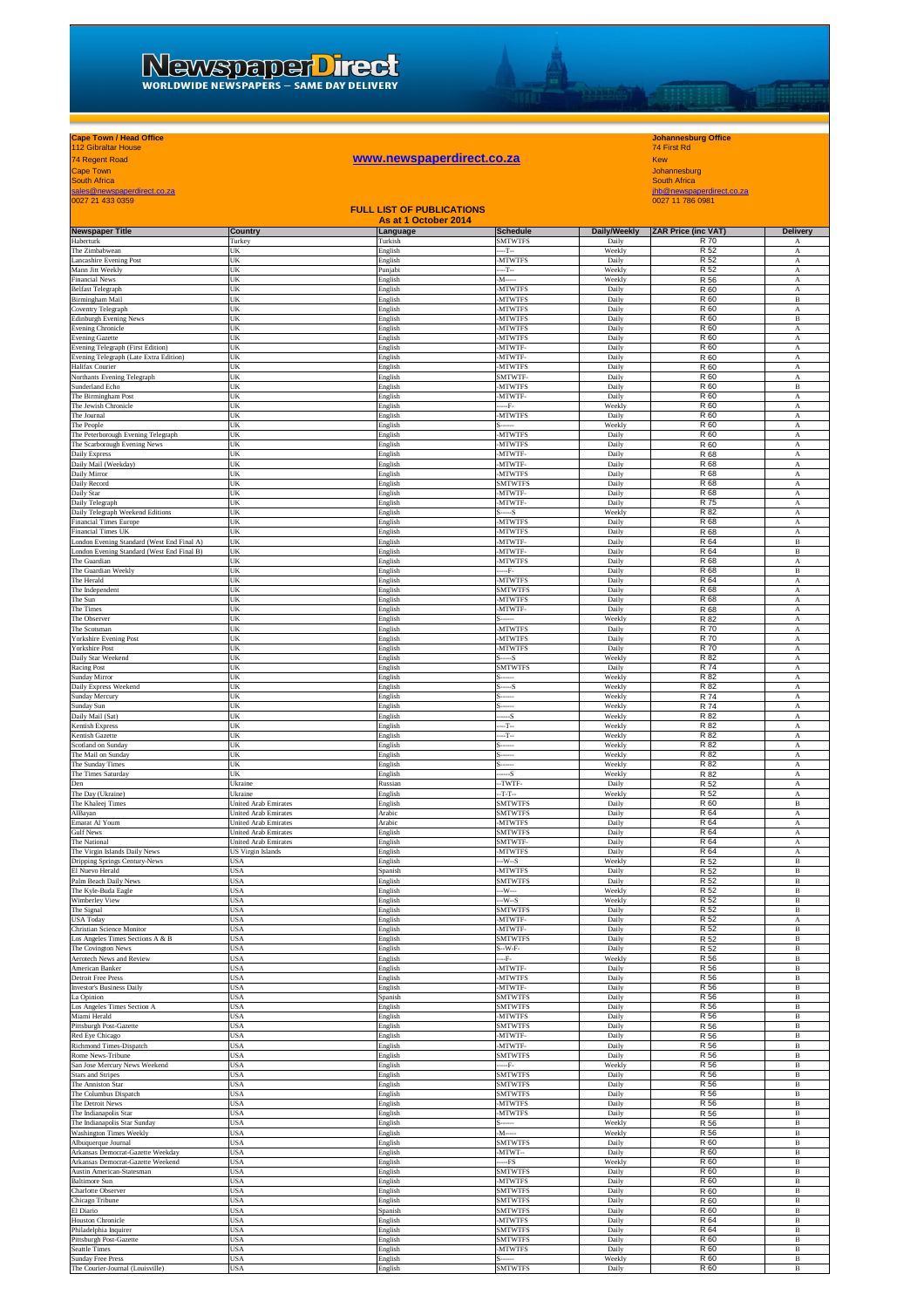## NEWSDEDET DITECT

# 74 Regent Road **www.newspaperdirect.co.za** Kew

## **Cape Town / Head Office Johannesburg Office** 112 Gibraltar House 74 First Rd

**THE REAL PROPERTY** 

Cape Town<br>South Africa<br>sales@newspaperdirect.co.za jhb@newspaperdirect.co.za jhb@newspaperdirect.co.za jhb@newspaperdirect.co.za jhb@newspaperdirect.co.za<br>0027 21 433 0359 0027 11 786 0981

| <b>PULLET 21 433 0359</b><br><b>0021 11 190 030 1</b><br><b>FULL LIST OF PUBLICATIONS</b> |                                                     |                                  |                                  |                  |                            |                              |
|-------------------------------------------------------------------------------------------|-----------------------------------------------------|----------------------------------|----------------------------------|------------------|----------------------------|------------------------------|
| <b>Newspaper Title</b>                                                                    | Country                                             | As at 1 October 2014<br>Language | <b>Schedule</b>                  | Daily/Weekly     | <b>ZAR Price (inc VAT)</b> | <b>Delivery</b>              |
| Haberturk<br>The Zimbabwean                                                               | Turkey<br>UK                                        | Turkish<br>English               | <b>SMTWTFS</b><br>--T--          | Daily<br>Weekly  | R 70<br>R 52               | А<br>$_{\rm A}$              |
| Lancashire Evening Post                                                                   | UK                                                  | English                          | <b>MTWTFS</b>                    | Daily            | R 52                       | А                            |
| Mann Jitt Weekly<br><b>Financial News</b>                                                 | UK<br>JK                                            | Punjabi<br>English               | $-T-$<br>$M$ -----               | Weekly<br>Weekly | R 52<br>R 56               | А<br>A                       |
| <b>Belfast Telegraph</b>                                                                  | UK                                                  | English                          | <b>MTWTFS</b>                    | Daily            | R 60                       | A                            |
| Birmingham Mail                                                                           | UK                                                  | English                          | <b>MTWTFS</b>                    | Daily            | R 60                       | $\, {\bf B}$                 |
| Coventry Telegraph<br><b>Edinburgh Evening News</b>                                       | UK<br>UK                                            | English<br>English               | -MTWTFS<br><b>MTWTFS</b>         | Daily<br>Daily   | R 60<br>R 60               | $_{\rm A}$<br>$\, {\bf B}$   |
| Evening Chronicle                                                                         | UK                                                  | English                          | <b>MTWTFS</b>                    | Daily            | R 60                       | А                            |
| <b>Evening Gazette</b><br>Evening Telegraph (First Edition)                               | UK<br>UK                                            | English<br>English               | <b>MTWTFS</b><br>MTWTF-          | Daily<br>Daily   | R 60<br>R 60               | A<br>$_{\rm A}$              |
| Evening Telegraph (Late Extra Edition)                                                    | UK                                                  | English                          | MTWTF-                           | Daily            | R 60                       | $\mathbf A$                  |
| Halifax Courier<br>Northants Evening Telegraph                                            | UK<br>UK                                            | English<br>English               | <b>MTWTFS</b><br>SMTWTF-         | Daily<br>Daily   | R 60<br>R 60               | A<br>A                       |
| Sunderland Echo                                                                           | JK                                                  | English                          | <b>MTWTFS</b>                    | Daily            | R 60                       | В                            |
| The Birmingham Post                                                                       | JK                                                  | English                          | MTWTF-                           | Daily            | R 60                       | A                            |
| The Jewish Chronicle<br>The Journal                                                       | UK<br>JK                                            | English<br>English               | --F-<br><b>MTWTFS</b>            | Weekly<br>Daily  | R 60<br>R 60               | A<br>А                       |
| The People                                                                                | UK                                                  | English                          |                                  | Weekly           | R 60                       | $_{\rm A}$                   |
| The Peterborough Evening Telegraph<br>The Scarborough Evening News                        | UK<br>UK                                            | English<br>English               | -MTWTFS<br>-MTWTFS               | Daily<br>Daily   | R 60<br>R 60               | A<br>A                       |
| Daily Express                                                                             | UK                                                  | English                          | MTWTF-                           | Daily            | R 68                       | A                            |
| Daily Mail (Weekday)                                                                      | UK                                                  | English                          | <b>MTWTF</b>                     | Daily            | R 68                       | A                            |
| Daily Mirror<br>Daily Record                                                              | UK<br>UK                                            | English<br>English               | <b>MTWTFS</b><br>SMTWTFS         | Daily<br>Daily   | R 68<br>R 68               | A<br>$_{\rm A}$              |
| Daily Star                                                                                | UK                                                  | English                          | -MTWTF-                          | Daily            | R 68                       | A                            |
| Daily Telegraph<br>Daily Telegraph Weekend Editions                                       | UK<br>UK                                            | English<br>English               | MTWTF-<br>$ S$                   | Daily<br>Weekly  | R 75<br>R 82               | А<br>А                       |
| <b>Financial Times Europe</b>                                                             | UK                                                  | English                          | <b>MTWTFS</b>                    | Daily            | R 68                       | A                            |
| Financial Times UK<br>London Evening Standard (West End Final A)                          | UK                                                  | English<br>English               | <b>MTWTFS</b><br>-MTWTF-         | Daily<br>Daily   | R 68<br>R 64               | A<br>$\, {\bf B}$            |
| London Evening Standard (West End Final B)                                                | UK<br>UK                                            | English                          | -MTWTF-                          | Daily            | R 64                       | В                            |
| The Guardian                                                                              | UK                                                  | English                          | <b>MTWTFS</b>                    | Daily            | R 68                       | A                            |
| The Guardian Weekly<br>The Herald                                                         | UK<br>UK                                            | English<br>English               | F-<br><b>MTWTFS</b>              | Daily<br>Daily   | R 68<br>R 64               | B<br>А                       |
| The Independent                                                                           | UK                                                  | English                          | <b>SMTWTFS</b>                   | Daily            | R 68                       | A                            |
| The Sun<br>The Times                                                                      | UK<br>UK                                            | English<br>English               | <b>MTWTFS</b><br>MTWTF-          | Daily<br>Daily   | R 68<br>R 68               | $\mathbf A$<br>A             |
| The Observer                                                                              | UK                                                  | English                          |                                  | Weekly           | R 82                       | $_{\rm A}$                   |
| The Scotsman                                                                              | JK                                                  | English                          | <b>MTWTFS</b><br><b>MTWTFS</b>   | Daily            | R 70<br>R 70               | А                            |
| <b>Yorkshire Evening Post</b><br><b>Yorkshire Post</b>                                    | JK<br>JK                                            | English<br>English               | <b>MTWTFS</b>                    | Daily<br>Daily   | R 70                       | А<br>А                       |
| Daily Star Weekend                                                                        | JK                                                  | English                          | --S                              | Weekly           | R 82                       | A                            |
| Racing Post<br>Sunday Mirror                                                              | UK<br>UK                                            | English<br>English               | <b>SMTWTFS</b><br>               | Daily<br>Weekly  | <b>R74</b><br>R 82         | $_{\rm A}$<br>A              |
| Daily Express Weekend                                                                     | UK                                                  | English                          | S                                | Weekly           | R 82                       | А                            |
| Sunday Mercury<br>Sunday Sun                                                              | UK<br>UK                                            | English<br>English               |                                  | Weekly<br>Weekly | R 74<br>R 74               | $\,$ A<br>A                  |
| Daily Mail (Sat)                                                                          | UK                                                  | English                          | $-S$                             | Weekly           | R 82                       | A                            |
| Kentish Express                                                                           | UK                                                  | English                          | $-T-$                            | Weekly           | R 82                       | A                            |
| Kentish Gazette<br>Scotland on Sunday                                                     | UK<br>UK                                            | English<br>English               | $-T-$                            | Weekly<br>Weekly | R 82<br>R 82               | А<br>$_{\rm A}$              |
| The Mail on Sunday                                                                        | JK                                                  | English                          |                                  | Weekly           | R 82                       | А                            |
| The Sunday Times<br>The Times Saturday                                                    | UK<br>JK                                            | English<br>English               | --S                              | Weekly<br>Weekly | R 82<br>R 82               | $_{\rm A}$<br>A              |
| Den                                                                                       | Ukraine                                             | Russian                          | -TWTF-                           | Daily            | R 52                       | $\mathbf{A}$                 |
| The Day (Ukraine)                                                                         | Ukraine<br><b>United Arab Emirates</b>              | English                          | $-T-T-$                          | Weekly           | R 52<br>R 60               | $\mathbf{A}$                 |
| The Khaleej Times<br>AlBayan                                                              | United Arab Emirates                                | English<br>Arabic                | <b>SMTWTFS</b><br><b>SMTWTFS</b> | Daily<br>Daily   | R 64                       | $\, {\bf B}$<br>А            |
| Emarat Al Youm                                                                            | United Arab Emirates                                | Arabic                           | <b>MTWTFS</b>                    | Daily            | R 64                       | $\,$ A                       |
| <b>Gulf News</b><br>The National                                                          | Jnited Arab Emirates<br><b>United Arab Emirates</b> | English<br>English               | <b>SMTWTFS</b><br>SMTWTF-        | Daily<br>Daily   | R 64<br>R 64               | A<br>$_{\rm A}$              |
| The Virgin Islands Daily News                                                             | US Virgin Islands                                   | English                          | <b>MTWTFS</b>                    | Daily            | R 64                       | А                            |
| Dripping Springs Century-News<br>El Nuevo Herald                                          | JSA<br>JSA                                          | English<br>Spanish               | $-W-S$<br><b>MTWTFS</b>          | Weekly<br>Daily  | R 52<br>R 52               | В<br>в                       |
| Palm Beach Daily News                                                                     | JSA                                                 | English                          | <b>SMTWTFS</b>                   | Daily            | R 52                       | в                            |
| The Kyle-Buda Eagle                                                                       | JSA                                                 | English                          | $-W-$                            | Weekly           | R 52                       | $\, {\bf B}$                 |
| Wimberley View<br>The Signal                                                              | JSA<br>USA                                          | English<br>English               | -W--S<br><b>SMTWTFS</b>          | Weekly<br>Daily  | R 52<br>R 52               | в<br>$\, {\bf B}$            |
| <b>USA Today</b>                                                                          | USA                                                 | English                          | -MTWTF-                          | Daily            | R 52                       | A                            |
| Christian Science Monitor<br>Los Angeles Times Sections A & B                             | USA<br>USA                                          | English<br>English               | -MTWTF-<br><b>SMTWTFS</b>        | Daily<br>Daily   | R 52<br>R 52               | в<br>$\, {\bf B}$            |
| The Covington News                                                                        | USA                                                 | English                          | $S-W-F-$                         | Daily            | R 52                       | в                            |
| Aerotech News and Review                                                                  | <b>USA</b><br>USA                                   | English                          | --F-<br>MTWTF-                   | Weekly           | R 56<br>R 56               | $\, {\bf B}$<br>$\, {\bf B}$ |
| American Banker<br>Detroit Free Press                                                     | USA                                                 | English<br>English               | <b>MTWTFS</b>                    | Daily<br>Daily   | R 56                       | В                            |
| <b>Investor's Business Daily</b>                                                          | USA                                                 | English                          | MTWTF-                           | Daily            | R 56                       | $\, {\bf B}$                 |
| La Opinion<br>Los Angeles Times Section A                                                 | <b>JSA</b><br>USA                                   | Spanish<br>English               | <b>SMTWTFS</b><br><b>SMTWTFS</b> | Daily<br>Daily   | R 56<br>R 56               | $\, {\bf B}$<br>В            |
| Miami Herald                                                                              | USA                                                 | English                          | <b>MTWTFS</b>                    | Daily            | R 56                       | $\, {\bf B}$                 |
| Pittsburgh Post-Gazette<br>Red Eye Chicago                                                | USA<br>USA                                          | English<br>English               | <b>SMTWTFS</b><br>-MTWTF-        | Daily<br>Daily   | R 56<br>R 56               | $\, {\bf B}$<br>в            |
| Richmond Times-Dispatch                                                                   | USA                                                 | English                          | -MTWTF-                          | Daily            | R 56                       | $\, {\bf B}$                 |
| Rome News-Tribune                                                                         | USA                                                 | English                          | <b>SMTWTFS</b>                   | Daily            | R 56                       | В                            |
| San Jose Mercury News Weekend<br><b>Stars and Stripes</b>                                 | USA<br>USA                                          | English<br>English               | F.<br>SMTWTFS                    | Weekly<br>Daily  | R 56<br>R 56               | $\, {\bf B}$<br>$\, {\bf B}$ |
| The Anniston Star                                                                         | USA                                                 | English                          | <b>SMTWTFS</b>                   | Daily            | R 56                       | $\, {\bf B}$                 |
| The Columbus Dispatch<br>The Detroit News                                                 | USA<br>USA                                          | English<br>English               | <b>SMTWTFS</b><br><b>MTWTFS</b>  | Daily<br>Daily   | R 56<br>R 56               | В<br>В                       |
| The Indianapolis Star                                                                     | USA                                                 | English                          | <b>MTWTFS</b>                    | Daily            | R 56                       | $\, {\bf B}$                 |
| The Indianapolis Star Sunday<br>Washington Times Weekly                                   | USA<br>JSA                                          | English<br>English               | $M$ -----                        | Weekly<br>Weekly | R 56<br>R 56               | $\, {\bf B}$<br>$\, {\bf B}$ |
| Albuquerque Journal                                                                       | USA                                                 | English                          | <b>SMTWTFS</b>                   | Daily            | R 60                       | В                            |
| Arkansas Democrat-Gazette Weekday                                                         | USA                                                 | English                          | -MTWT--                          | Daily            | R 60                       | В                            |
| Arkansas Democrat-Gazette Weekend<br>Austin American-Statesman                            | USA<br>USA                                          | English<br>English               | $-FS$<br><b>SMTWTFS</b>          | Weekly<br>Daily  | R 60<br>R 60               | В<br>$\, {\bf B}$            |
| <b>Baltimore Sun</b>                                                                      | USA                                                 | English                          | <b>MTWTFS</b>                    | Daily            | R 60                       | В                            |
| Charlotte Observer                                                                        | USA                                                 | English                          | SMTWTFS                          | Daily            | R 60                       | $\, {\bf B}$                 |
| Chicago Tribune<br>El Diario                                                              | USA<br>USA                                          | English<br>Spanish               | SMTWTFS<br><b>SMTWTFS</b>        | Daily<br>Daily   | R 60<br>R 60               | $\, {\bf B}$<br>$\, {\bf B}$ |
| <b>Houston Chronicle</b>                                                                  | USA                                                 | English                          | <b>MTWTFS</b>                    | Daily            | R 64                       | $\, {\bf B}$                 |
| Philadelphia Inquirer<br>Pittsburgh Post-Gazette                                          | JSA<br><b>JSA</b>                                   | English<br>English               | SMTWTFS<br><b>SMTWTFS</b>        | Daily<br>Daily   | R 64<br>R 60               | В<br>$\, {\bf B}$            |
| Seattle Times                                                                             | JSA                                                 | English                          | <b>MTWTFS</b>                    | Daily            | R 60                       | В                            |
| Sunday Free Press                                                                         | USA                                                 | English                          |                                  | Weekly           | R 60                       | $\, {\bf B}$                 |
| The Courier-Journal (Louisville)                                                          | USA                                                 | English                          | <b>SMTWTFS</b>                   | Daily            | R 60                       | $\, {\bf B}$                 |